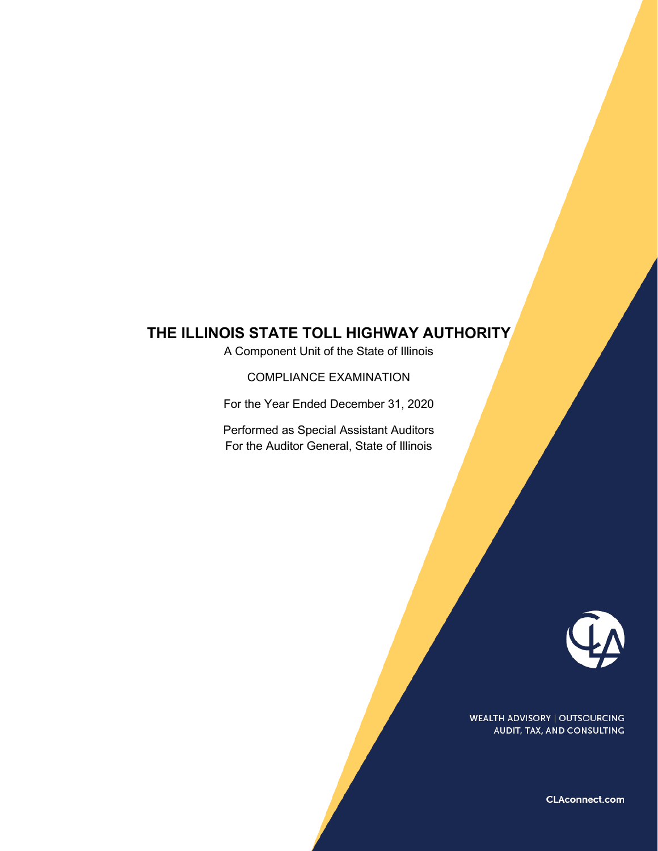A Component Unit of the State of Illinois

COMPLIANCE EXAMINATION

For the Year Ended December 31, 2020

Performed as Special Assistant Auditors For the Auditor General, State of Illinois



**WEALTH ADVISORY | OUTSOURCING** AUDIT, TAX, AND CONSULTING

CLAconnect.com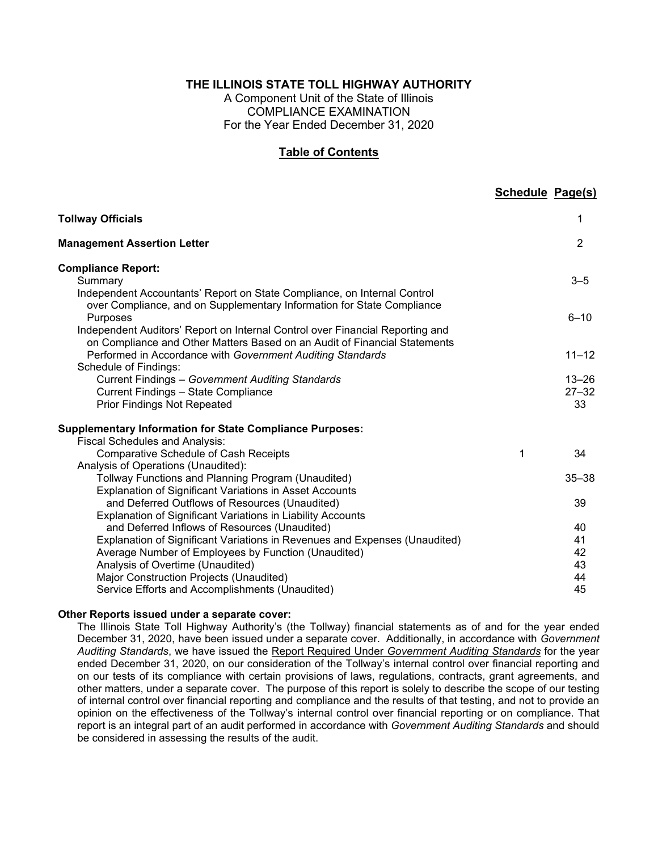A Component Unit of the State of Illinois COMPLIANCE EXAMINATION For the Year Ended December 31, 2020

#### **Table of Contents**

|                                                                                                                                                                                            | <b>Schedule Page(s)</b> |                              |
|--------------------------------------------------------------------------------------------------------------------------------------------------------------------------------------------|-------------------------|------------------------------|
| <b>Tollway Officials</b>                                                                                                                                                                   |                         | 1                            |
| <b>Management Assertion Letter</b>                                                                                                                                                         |                         | $\overline{2}$               |
| <b>Compliance Report:</b><br>Summary<br>Independent Accountants' Report on State Compliance, on Internal Control<br>over Compliance, and on Supplementary Information for State Compliance |                         | $3 - 5$                      |
| Purposes<br>Independent Auditors' Report on Internal Control over Financial Reporting and<br>on Compliance and Other Matters Based on an Audit of Financial Statements                     |                         | $6 - 10$                     |
| Performed in Accordance with Government Auditing Standards<br>Schedule of Findings:                                                                                                        |                         | $11 - 12$                    |
| <b>Current Findings - Government Auditing Standards</b><br><b>Current Findings - State Compliance</b><br><b>Prior Findings Not Repeated</b>                                                |                         | $13 - 26$<br>$27 - 32$<br>33 |
| <b>Supplementary Information for State Compliance Purposes:</b><br><b>Fiscal Schedules and Analysis:</b>                                                                                   |                         |                              |
| <b>Comparative Schedule of Cash Receipts</b><br>Analysis of Operations (Unaudited):                                                                                                        | 1                       | 34                           |
| Tollway Functions and Planning Program (Unaudited)<br><b>Explanation of Significant Variations in Asset Accounts</b>                                                                       |                         | $35 - 38$                    |
| and Deferred Outflows of Resources (Unaudited)<br>Explanation of Significant Variations in Liability Accounts                                                                              |                         | 39                           |
| and Deferred Inflows of Resources (Unaudited)                                                                                                                                              |                         | 40                           |
| Explanation of Significant Variations in Revenues and Expenses (Unaudited)                                                                                                                 |                         | 41                           |
| Average Number of Employees by Function (Unaudited)                                                                                                                                        |                         | 42                           |
| Analysis of Overtime (Unaudited)                                                                                                                                                           |                         | 43                           |
| Major Construction Projects (Unaudited)<br>Service Efforts and Accomplishments (Unaudited)                                                                                                 |                         | 44<br>45                     |

#### **Other Reports issued under a separate cover:**

The Illinois State Toll Highway Authority's (the Tollway) financial statements as of and for the year ended December 31, 2020, have been issued under a separate cover. Additionally, in accordance with *Government Auditing Standards*, we have issued the Report Required Under *Government Auditing Standards* for the year ended December 31, 2020, on our consideration of the Tollway's internal control over financial reporting and on our tests of its compliance with certain provisions of laws, regulations, contracts, grant agreements, and other matters, under a separate cover. The purpose of this report is solely to describe the scope of our testing of internal control over financial reporting and compliance and the results of that testing, and not to provide an opinion on the effectiveness of the Tollway's internal control over financial reporting or on compliance. That report is an integral part of an audit performed in accordance with *Government Auditing Standards* and should be considered in assessing the results of the audit.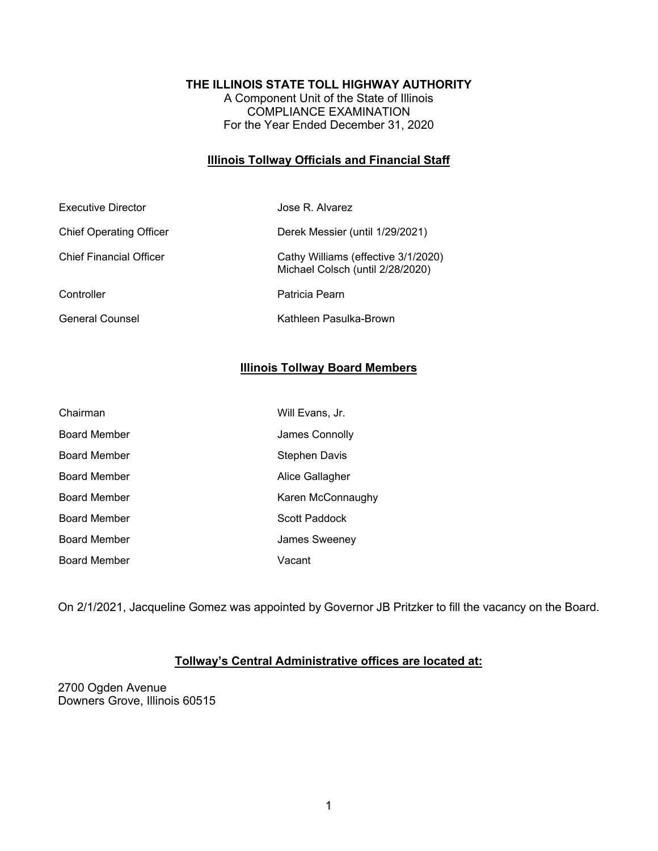A Component Unit of the State of Illinois COMPLIANCE EXAMINATION For the Year Ended December 31, 2020

#### **Illinois Tollway Officials and Financial Staff**

| Executive Director             | Jose R. Alvarez                                                         |
|--------------------------------|-------------------------------------------------------------------------|
| <b>Chief Operating Officer</b> | Derek Messier (until 1/29/2021)                                         |
| <b>Chief Financial Officer</b> | Cathy Williams (effective 3/1/2020)<br>Michael Colsch (until 2/28/2020) |
| Controller                     | Patricia Pearn                                                          |
| <b>General Counsel</b>         | Kathleen Pasulka-Brown                                                  |

### **Illinois Tollway Board Members**

| Chairman            | Will Evans, Jr.   |
|---------------------|-------------------|
| <b>Board Member</b> | James Connolly    |
| Board Member        | Stephen Davis     |
| Board Member        | Alice Gallagher   |
| <b>Board Member</b> | Karen McConnaughy |
| <b>Board Member</b> | Scott Paddock     |
| <b>Board Member</b> | James Sweeney     |
| <b>Board Member</b> | Vacant            |

On 2/1/2021, Jacqueline Gomez was appointed by Governor JB Pritzker to fill the vacancy on the Board.

### **Tollway's Central Administrative offices are located at:**

2700 Ogden Avenue Downers Grove, Illinois 60515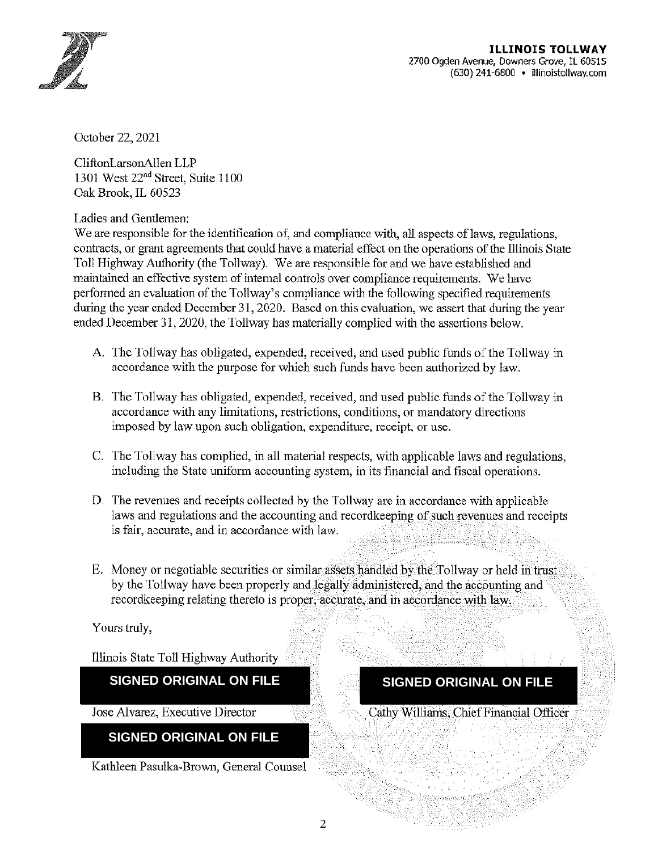

October 22, 2021

CliftonLarsonAllen LLP 1301 West 22<sup>nd</sup> Street, Suite 1100 Oak Brook. IL 60523

Ladies and Gentlemen:

We are responsible for the identification of, and compliance with, all aspects of laws, regulations, contracts, or grant agreements that could have a material effect on the operations of the Illinois State Toll Highway Authority (the Tollway). We are responsible for and we have established and maintained an effective system of internal controls over compliance requirements. We have performed an evaluation of the Tollway's compliance with the following specified requirements during the year ended December 31, 2020. Based on this evaluation, we assert that during the year ended December 31, 2020, the Tollway has materially complied with the assertions below.

- A. The Tollway has obligated, expended, received, and used public funds of the Tollway in accordance with the purpose for which such funds have been authorized by law.
- B. The Tollway has obligated, expended, received, and used public funds of the Tollway in accordance with any limitations, restrictions, conditions, or mandatory directions imposed by law upon such obligation, expenditure, receipt, or use.
- C. The Tollway has complied, in all material respects, with applicable laws and regulations, including the State uniform accounting system, in its financial and fiscal operations.
- D. The revenues and receipts collected by the Tollway are in accordance with applicable laws and regulations and the accounting and recordkeeping of such revenues and receipts is fair, accurate, and in accordance with law.
- E. Money or negotiable securities or similar assets handled by the Tollway or held in trust by the Tollway have been properly and legally administered, and the accounting and recordkeeping relating thereto is proper, accurate, and in accordance with law.

Yours truly,

Illinois State Toll Highway Authority

**SIGNED ORIGINAL ON FILE** 

Jose Alvarez, Executive Director

**SIGNED ORIGINAL ON FILE** 

Kathleen Pasulka-Brown, General Counsel

## **SIGNED ORIGINAL ON FILE**

Cathy Williams, Chief Financial Officer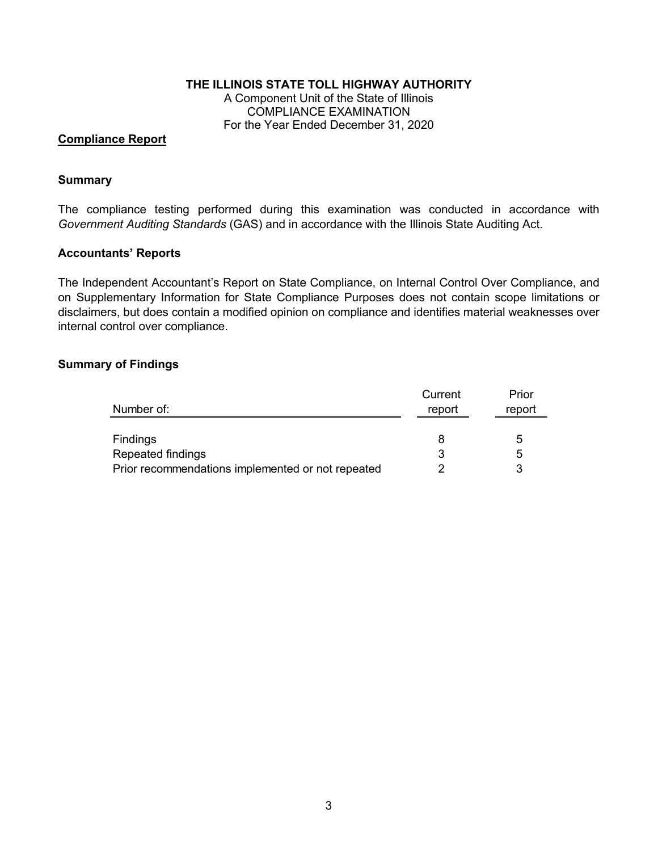A Component Unit of the State of Illinois COMPLIANCE EXAMINATION For the Year Ended December 31, 2020

#### **Compliance Report**

#### **Summary**

The compliance testing performed during this examination was conducted in accordance with *Government Auditing Standards* (GAS) and in accordance with the Illinois State Auditing Act.

#### **Accountants' Reports**

The Independent Accountant's Report on State Compliance, on Internal Control Over Compliance, and on Supplementary Information for State Compliance Purposes does not contain scope limitations or disclaimers, but does contain a modified opinion on compliance and identifies material weaknesses over internal control over compliance.

#### **Summary of Findings**

|                                                   | Current | Prior  |
|---------------------------------------------------|---------|--------|
| Number of:                                        | report  | report |
|                                                   |         |        |
| Findings                                          |         | ხ      |
| Repeated findings                                 |         | 5      |
| Prior recommendations implemented or not repeated |         |        |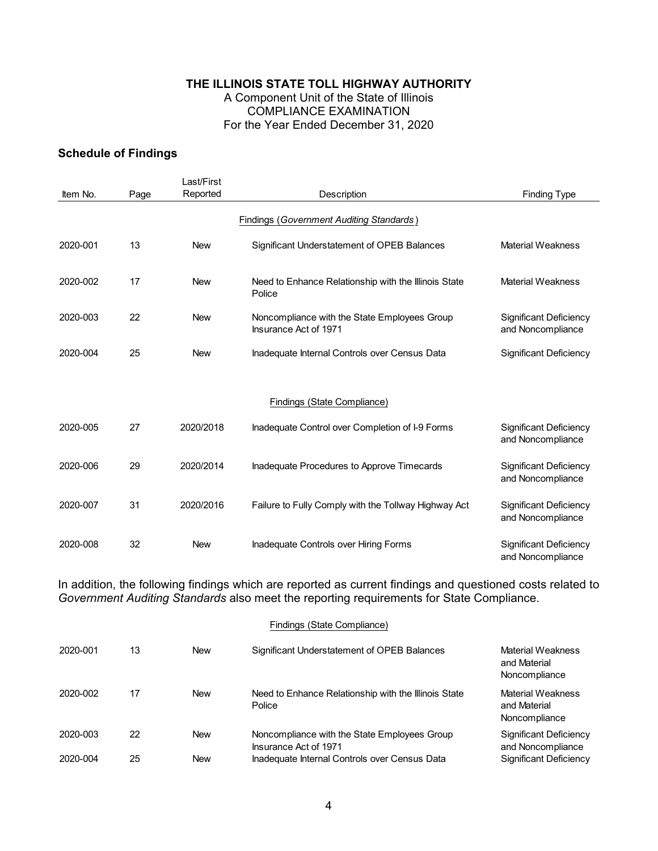## **THE ILLINOIS STATE TOLL HIGHWAY AUTHORITY**  A Component Unit of the State of Illinois COMPLIANCE EXAMINATION

## For the Year Ended December 31, 2020

### **Schedule of Findings**

| Item No. | Page | Reported   | Description                                                           | <b>Finding Type</b>                                |
|----------|------|------------|-----------------------------------------------------------------------|----------------------------------------------------|
|          |      |            |                                                                       |                                                    |
| 2020-001 | 13   | <b>New</b> | Significant Understatement of OPEB Balances                           | <b>Material Weakness</b>                           |
| 2020-002 | 17   | <b>New</b> | Need to Enhance Relationship with the Illinois State<br>Police        | <b>Material Weakness</b>                           |
| 2020-003 | 22   | <b>New</b> | Noncompliance with the State Employees Group<br>Insurance Act of 1971 | Significant Deficiency<br>and Noncompliance        |
| 2020-004 | 25   | <b>New</b> | Inadequate Internal Controls over Census Data                         | <b>Significant Deficiency</b>                      |
|          |      |            | Findings (State Compliance)                                           |                                                    |
|          |      |            |                                                                       |                                                    |
| 2020-005 | 27   | 2020/2018  | Inadequate Control over Completion of I-9 Forms                       | Significant Deficiency<br>and Noncompliance        |
| 2020-006 | 29   | 2020/2014  | Inadequate Procedures to Approve Timecards                            | <b>Significant Deficiency</b><br>and Noncompliance |
| 2020-007 | 31   | 2020/2016  | Failure to Fully Comply with the Tollway Highway Act                  | <b>Significant Deficiency</b><br>and Noncompliance |
| 2020-008 | 32   | <b>New</b> | Inadequate Controls over Hiring Forms                                 | Significant Deficiency<br>and Noncompliance        |

In addition, the following findings which are reported as current findings and questioned costs related to *Government Auditing Standards* also meet the reporting requirements for State Compliance.

| 2020-001 | 13 | <b>New</b> | Significant Understatement of OPEB Balances                           | Material Weakness<br>and Material<br>Noncompliance |
|----------|----|------------|-----------------------------------------------------------------------|----------------------------------------------------|
| 2020-002 | 17 | New        | Need to Enhance Relationship with the Illinois State<br>Police        | Material Weakness<br>and Material<br>Noncompliance |
| 2020-003 | 22 | New        | Noncompliance with the State Employees Group<br>Insurance Act of 1971 | <b>Significant Deficiency</b><br>and Noncompliance |
| 2020-004 | 25 | <b>New</b> | Inadequate Internal Controls over Census Data                         | Significant Deficiency                             |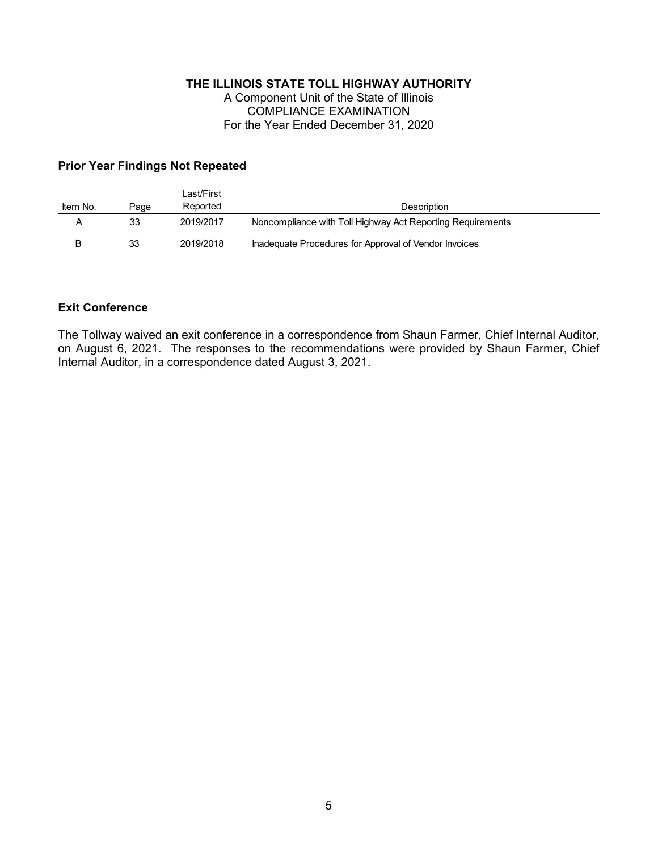A Component Unit of the State of Illinois COMPLIANCE EXAMINATION For the Year Ended December 31, 2020

### **Prior Year Findings Not Repeated**

| Item No. | Page | Last/First<br>Reported | <b>Description</b>                                         |
|----------|------|------------------------|------------------------------------------------------------|
|          | 33   | 2019/2017              | Noncompliance with Toll Highway Act Reporting Requirements |
|          | 33   | 2019/2018              | Inadequate Procedures for Approval of Vendor Invoices      |

#### **Exit Conference**

The Tollway waived an exit conference in a correspondence from Shaun Farmer, Chief Internal Auditor, on August 6, 2021. The responses to the recommendations were provided by Shaun Farmer, Chief Internal Auditor, in a correspondence dated August 3, 2021.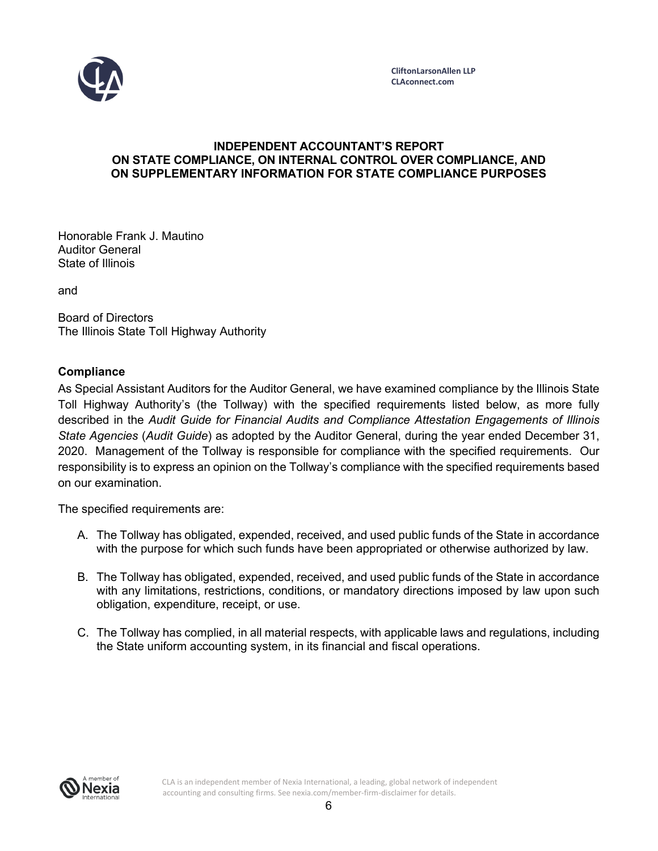

#### **INDEPENDENT ACCOUNTANT'S REPORT ON STATE COMPLIANCE, ON INTERNAL CONTROL OVER COMPLIANCE, AND ON SUPPLEMENTARY INFORMATION FOR STATE COMPLIANCE PURPOSES**

Honorable Frank J. Mautino Auditor General State of Illinois

and

Board of Directors The Illinois State Toll Highway Authority

### **Compliance**

As Special Assistant Auditors for the Auditor General, we have examined compliance by the Illinois State Toll Highway Authority's (the Tollway) with the specified requirements listed below, as more fully described in the *Audit Guide for Financial Audits and Compliance Attestation Engagements of Illinois State Agencies* (*Audit Guide*) as adopted by the Auditor General, during the year ended December 31, 2020. Management of the Tollway is responsible for compliance with the specified requirements. Our responsibility is to express an opinion on the Tollway's compliance with the specified requirements based on our examination.

The specified requirements are:

- A. The Tollway has obligated, expended, received, and used public funds of the State in accordance with the purpose for which such funds have been appropriated or otherwise authorized by law.
- B. The Tollway has obligated, expended, received, and used public funds of the State in accordance with any limitations, restrictions, conditions, or mandatory directions imposed by law upon such obligation, expenditure, receipt, or use.
- C. The Tollway has complied, in all material respects, with applicable laws and regulations, including the State uniform accounting system, in its financial and fiscal operations.



CLA is an independent member of Nexia International, a leading, global network of independent accounting and consulting firms. See nexia.com/member-firm-disclaimer for details.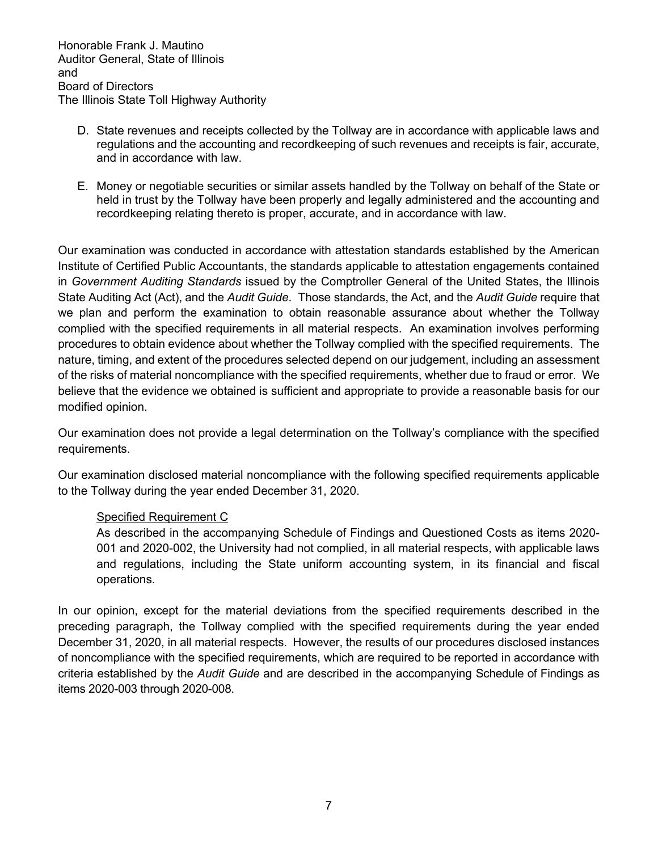- D. State revenues and receipts collected by the Tollway are in accordance with applicable laws and regulations and the accounting and recordkeeping of such revenues and receipts is fair, accurate, and in accordance with law.
- E. Money or negotiable securities or similar assets handled by the Tollway on behalf of the State or held in trust by the Tollway have been properly and legally administered and the accounting and recordkeeping relating thereto is proper, accurate, and in accordance with law.

Our examination was conducted in accordance with attestation standards established by the American Institute of Certified Public Accountants, the standards applicable to attestation engagements contained in *Government Auditing Standards* issued by the Comptroller General of the United States, the Illinois State Auditing Act (Act), and the *Audit Guide*. Those standards, the Act, and the *Audit Guide* require that we plan and perform the examination to obtain reasonable assurance about whether the Tollway complied with the specified requirements in all material respects. An examination involves performing procedures to obtain evidence about whether the Tollway complied with the specified requirements. The nature, timing, and extent of the procedures selected depend on our judgement, including an assessment of the risks of material noncompliance with the specified requirements, whether due to fraud or error. We believe that the evidence we obtained is sufficient and appropriate to provide a reasonable basis for our modified opinion.

Our examination does not provide a legal determination on the Tollway's compliance with the specified requirements.

Our examination disclosed material noncompliance with the following specified requirements applicable to the Tollway during the year ended December 31, 2020.

### Specified Requirement C

As described in the accompanying Schedule of Findings and Questioned Costs as items 2020- 001 and 2020-002, the University had not complied, in all material respects, with applicable laws and regulations, including the State uniform accounting system, in its financial and fiscal operations.

In our opinion, except for the material deviations from the specified requirements described in the preceding paragraph, the Tollway complied with the specified requirements during the year ended December 31, 2020, in all material respects. However, the results of our procedures disclosed instances of noncompliance with the specified requirements, which are required to be reported in accordance with criteria established by the *Audit Guide* and are described in the accompanying Schedule of Findings as items 2020-003 through 2020-008.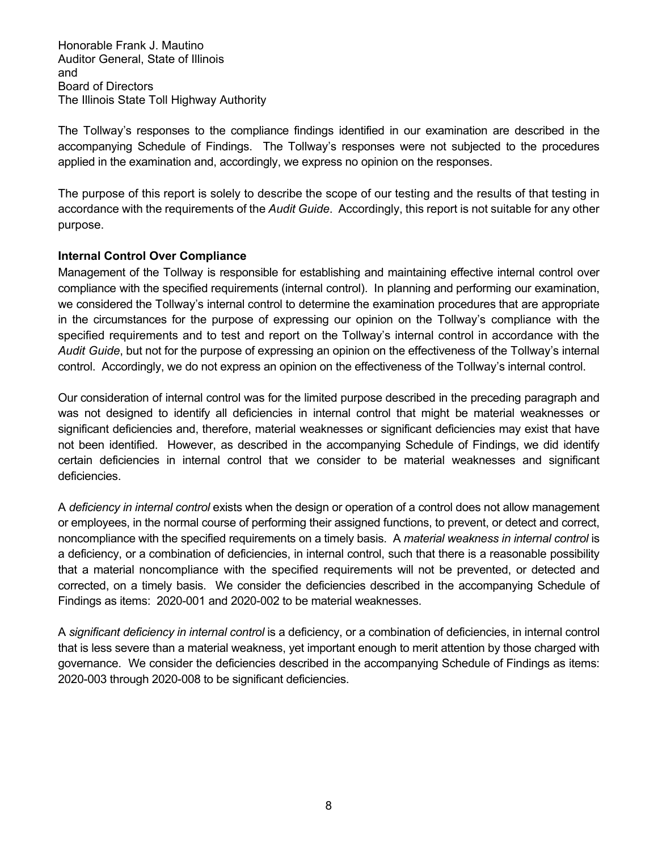The Tollway's responses to the compliance findings identified in our examination are described in the accompanying Schedule of Findings. The Tollway's responses were not subjected to the procedures applied in the examination and, accordingly, we express no opinion on the responses.

The purpose of this report is solely to describe the scope of our testing and the results of that testing in accordance with the requirements of the *Audit Guide*. Accordingly, this report is not suitable for any other purpose.

### **Internal Control Over Compliance**

Management of the Tollway is responsible for establishing and maintaining effective internal control over compliance with the specified requirements (internal control). In planning and performing our examination, we considered the Tollway's internal control to determine the examination procedures that are appropriate in the circumstances for the purpose of expressing our opinion on the Tollway's compliance with the specified requirements and to test and report on the Tollway's internal control in accordance with the *Audit Guide*, but not for the purpose of expressing an opinion on the effectiveness of the Tollway's internal control. Accordingly, we do not express an opinion on the effectiveness of the Tollway's internal control.

Our consideration of internal control was for the limited purpose described in the preceding paragraph and was not designed to identify all deficiencies in internal control that might be material weaknesses or significant deficiencies and, therefore, material weaknesses or significant deficiencies may exist that have not been identified. However, as described in the accompanying Schedule of Findings, we did identify certain deficiencies in internal control that we consider to be material weaknesses and significant deficiencies.

A *deficiency in internal control* exists when the design or operation of a control does not allow management or employees, in the normal course of performing their assigned functions, to prevent, or detect and correct, noncompliance with the specified requirements on a timely basis. A *material weakness in internal control* is a deficiency, or a combination of deficiencies, in internal control, such that there is a reasonable possibility that a material noncompliance with the specified requirements will not be prevented, or detected and corrected, on a timely basis. We consider the deficiencies described in the accompanying Schedule of Findings as items: 2020-001 and 2020-002 to be material weaknesses.

A *significant deficiency in internal control* is a deficiency, or a combination of deficiencies, in internal control that is less severe than a material weakness, yet important enough to merit attention by those charged with governance. We consider the deficiencies described in the accompanying Schedule of Findings as items: 2020-003 through 2020-008 to be significant deficiencies.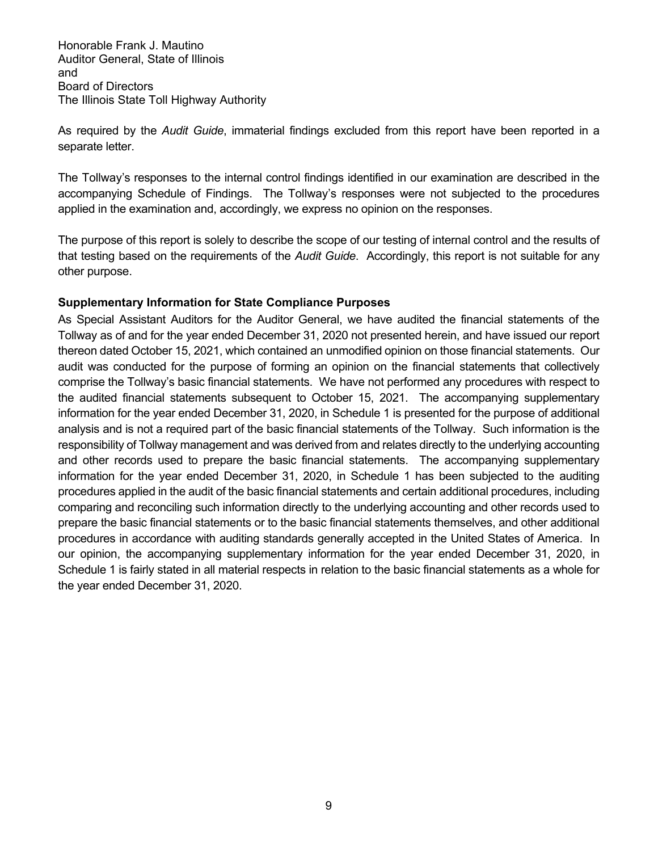As required by the *Audit Guide*, immaterial findings excluded from this report have been reported in a separate letter.

The Tollway's responses to the internal control findings identified in our examination are described in the accompanying Schedule of Findings. The Tollway's responses were not subjected to the procedures applied in the examination and, accordingly, we express no opinion on the responses.

The purpose of this report is solely to describe the scope of our testing of internal control and the results of that testing based on the requirements of the *Audit Guide*. Accordingly, this report is not suitable for any other purpose.

### **Supplementary Information for State Compliance Purposes**

As Special Assistant Auditors for the Auditor General, we have audited the financial statements of the Tollway as of and for the year ended December 31, 2020 not presented herein, and have issued our report thereon dated October 15, 2021, which contained an unmodified opinion on those financial statements. Our audit was conducted for the purpose of forming an opinion on the financial statements that collectively comprise the Tollway's basic financial statements. We have not performed any procedures with respect to the audited financial statements subsequent to October 15, 2021. The accompanying supplementary information for the year ended December 31, 2020, in Schedule 1 is presented for the purpose of additional analysis and is not a required part of the basic financial statements of the Tollway. Such information is the responsibility of Tollway management and was derived from and relates directly to the underlying accounting and other records used to prepare the basic financial statements. The accompanying supplementary information for the year ended December 31, 2020, in Schedule 1 has been subjected to the auditing procedures applied in the audit of the basic financial statements and certain additional procedures, including comparing and reconciling such information directly to the underlying accounting and other records used to prepare the basic financial statements or to the basic financial statements themselves, and other additional procedures in accordance with auditing standards generally accepted in the United States of America. In our opinion, the accompanying supplementary information for the year ended December 31, 2020, in Schedule 1 is fairly stated in all material respects in relation to the basic financial statements as a whole for the year ended December 31, 2020.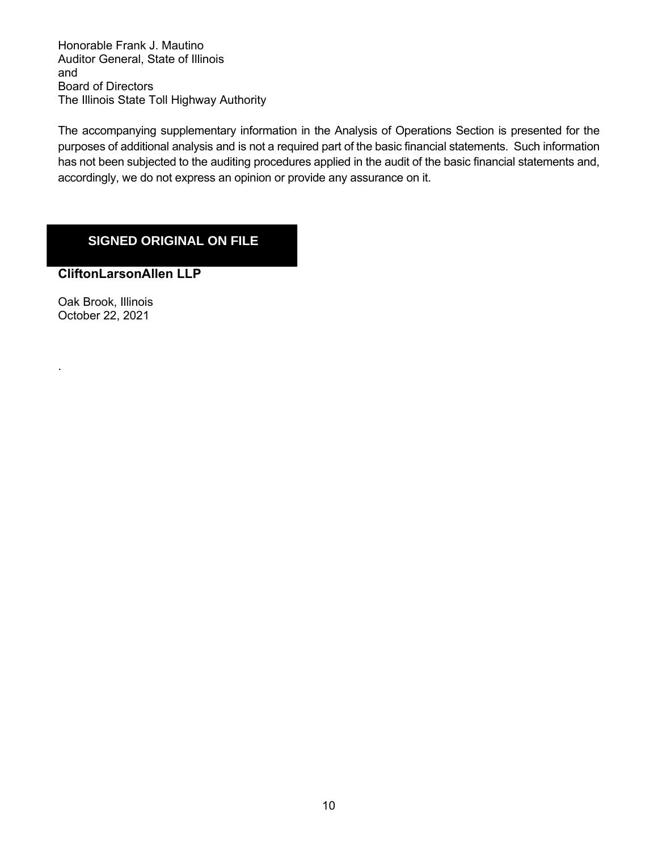The accompanying supplementary information in the Analysis of Operations Section is presented for the purposes of additional analysis and is not a required part of the basic financial statements. Such information has not been subjected to the auditing procedures applied in the audit of the basic financial statements and, accordingly, we do not express an opinion or provide any assurance on it.

# **SIGNED ORIGINAL ON FILE**

**CliftonLarsonAllen LLP**

Oak Brook, Illinois October 22, 2021

.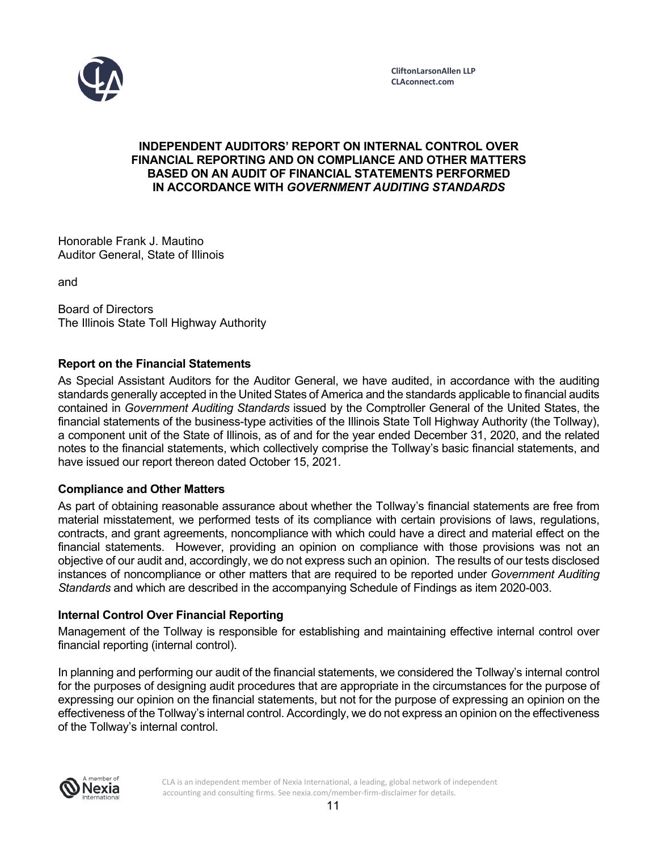

#### **INDEPENDENT AUDITORS' REPORT ON INTERNAL CONTROL OVER FINANCIAL REPORTING AND ON COMPLIANCE AND OTHER MATTERS BASED ON AN AUDIT OF FINANCIAL STATEMENTS PERFORMED IN ACCORDANCE WITH** *GOVERNMENT AUDITING STANDARDS*

Honorable Frank J. Mautino Auditor General, State of Illinois

and

Board of Directors The Illinois State Toll Highway Authority

### **Report on the Financial Statements**

As Special Assistant Auditors for the Auditor General, we have audited, in accordance with the auditing standards generally accepted in the United States of America and the standards applicable to financial audits contained in *Government Auditing Standards* issued by the Comptroller General of the United States, the financial statements of the business-type activities of the Illinois State Toll Highway Authority (the Tollway), a component unit of the State of Illinois, as of and for the year ended December 31, 2020, and the related notes to the financial statements, which collectively comprise the Tollway's basic financial statements, and have issued our report thereon dated October 15, 2021.

### **Compliance and Other Matters**

As part of obtaining reasonable assurance about whether the Tollway's financial statements are free from material misstatement, we performed tests of its compliance with certain provisions of laws, regulations, contracts, and grant agreements, noncompliance with which could have a direct and material effect on the financial statements. However, providing an opinion on compliance with those provisions was not an objective of our audit and, accordingly, we do not express such an opinion. The results of our tests disclosed instances of noncompliance or other matters that are required to be reported under *Government Auditing Standards* and which are described in the accompanying Schedule of Findings as item 2020-003.

### **Internal Control Over Financial Reporting**

Management of the Tollway is responsible for establishing and maintaining effective internal control over financial reporting (internal control).

In planning and performing our audit of the financial statements, we considered the Tollway's internal control for the purposes of designing audit procedures that are appropriate in the circumstances for the purpose of expressing our opinion on the financial statements, but not for the purpose of expressing an opinion on the effectiveness of the Tollway's internal control. Accordingly, we do not express an opinion on the effectiveness of the Tollway's internal control.



CLA is an independent member of Nexia International, a leading, global network of independent accounting and consulting firms. See nexia.com/member-firm-disclaimer for details.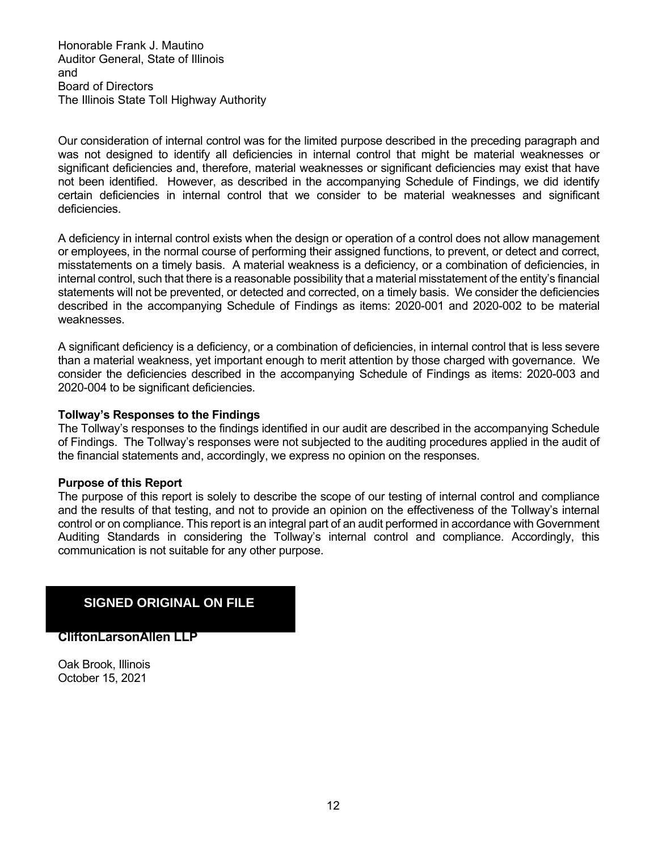Our consideration of internal control was for the limited purpose described in the preceding paragraph and was not designed to identify all deficiencies in internal control that might be material weaknesses or significant deficiencies and, therefore, material weaknesses or significant deficiencies may exist that have not been identified. However, as described in the accompanying Schedule of Findings, we did identify certain deficiencies in internal control that we consider to be material weaknesses and significant deficiencies.

A deficiency in internal control exists when the design or operation of a control does not allow management or employees, in the normal course of performing their assigned functions, to prevent, or detect and correct, misstatements on a timely basis. A material weakness is a deficiency, or a combination of deficiencies, in internal control, such that there is a reasonable possibility that a material misstatement of the entity's financial statements will not be prevented, or detected and corrected, on a timely basis. We consider the deficiencies described in the accompanying Schedule of Findings as items: 2020-001 and 2020-002 to be material weaknesses.

A significant deficiency is a deficiency, or a combination of deficiencies, in internal control that is less severe than a material weakness, yet important enough to merit attention by those charged with governance. We consider the deficiencies described in the accompanying Schedule of Findings as items: 2020-003 and 2020-004 to be significant deficiencies.

#### **Tollway's Responses to the Findings**

The Tollway's responses to the findings identified in our audit are described in the accompanying Schedule of Findings. The Tollway's responses were not subjected to the auditing procedures applied in the audit of the financial statements and, accordingly, we express no opinion on the responses.

#### **Purpose of this Report**

The purpose of this report is solely to describe the scope of our testing of internal control and compliance and the results of that testing, and not to provide an opinion on the effectiveness of the Tollway's internal control or on compliance. This report is an integral part of an audit performed in accordance with Government Auditing Standards in considering the Tollway's internal control and compliance. Accordingly, this communication is not suitable for any other purpose.

## **SIGNED ORIGINAL ON FILE**

**CliftonLarsonAllen LLP**

Oak Brook, Illinois October 15, 2021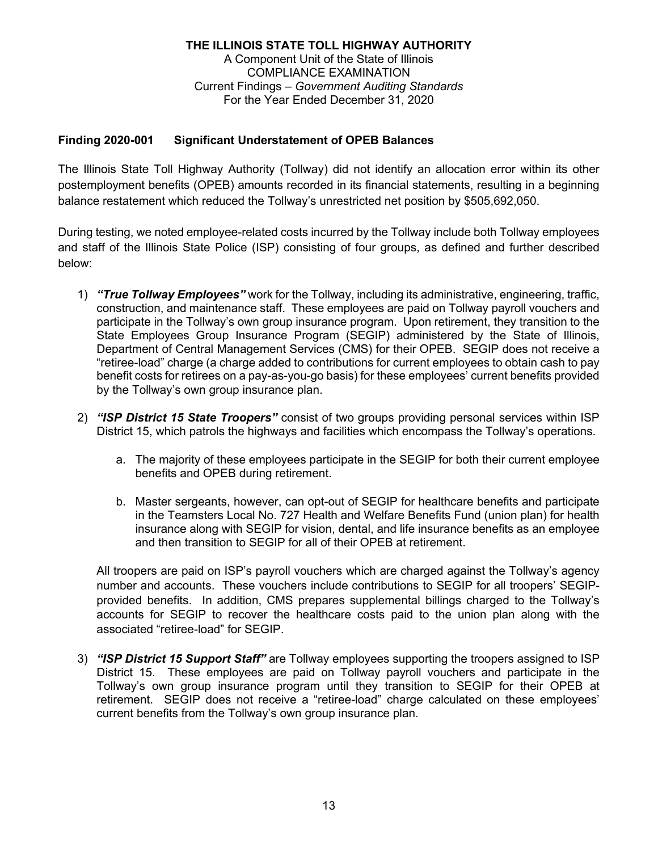### **Finding 2020-001 Significant Understatement of OPEB Balances**

The Illinois State Toll Highway Authority (Tollway) did not identify an allocation error within its other postemployment benefits (OPEB) amounts recorded in its financial statements, resulting in a beginning balance restatement which reduced the Tollway's unrestricted net position by \$505,692,050.

During testing, we noted employee-related costs incurred by the Tollway include both Tollway employees and staff of the Illinois State Police (ISP) consisting of four groups, as defined and further described below:

- 1) *"True Tollway Employees"* work for the Tollway, including its administrative, engineering, traffic, construction, and maintenance staff. These employees are paid on Tollway payroll vouchers and participate in the Tollway's own group insurance program. Upon retirement, they transition to the State Employees Group Insurance Program (SEGIP) administered by the State of Illinois, Department of Central Management Services (CMS) for their OPEB. SEGIP does not receive a "retiree-load" charge (a charge added to contributions for current employees to obtain cash to pay benefit costs for retirees on a pay-as-you-go basis) for these employees' current benefits provided by the Tollway's own group insurance plan.
- 2) *"ISP District 15 State Troopers"* consist of two groups providing personal services within ISP District 15, which patrols the highways and facilities which encompass the Tollway's operations.
	- a. The majority of these employees participate in the SEGIP for both their current employee benefits and OPEB during retirement.
	- b. Master sergeants, however, can opt-out of SEGIP for healthcare benefits and participate in the Teamsters Local No. 727 Health and Welfare Benefits Fund (union plan) for health insurance along with SEGIP for vision, dental, and life insurance benefits as an employee and then transition to SEGIP for all of their OPEB at retirement.

All troopers are paid on ISP's payroll vouchers which are charged against the Tollway's agency number and accounts. These vouchers include contributions to SEGIP for all troopers' SEGIPprovided benefits. In addition, CMS prepares supplemental billings charged to the Tollway's accounts for SEGIP to recover the healthcare costs paid to the union plan along with the associated "retiree-load" for SEGIP.

3) *"ISP District 15 Support Staff"* are Tollway employees supporting the troopers assigned to ISP District 15. These employees are paid on Tollway payroll vouchers and participate in the Tollway's own group insurance program until they transition to SEGIP for their OPEB at retirement. SEGIP does not receive a "retiree-load" charge calculated on these employees' current benefits from the Tollway's own group insurance plan.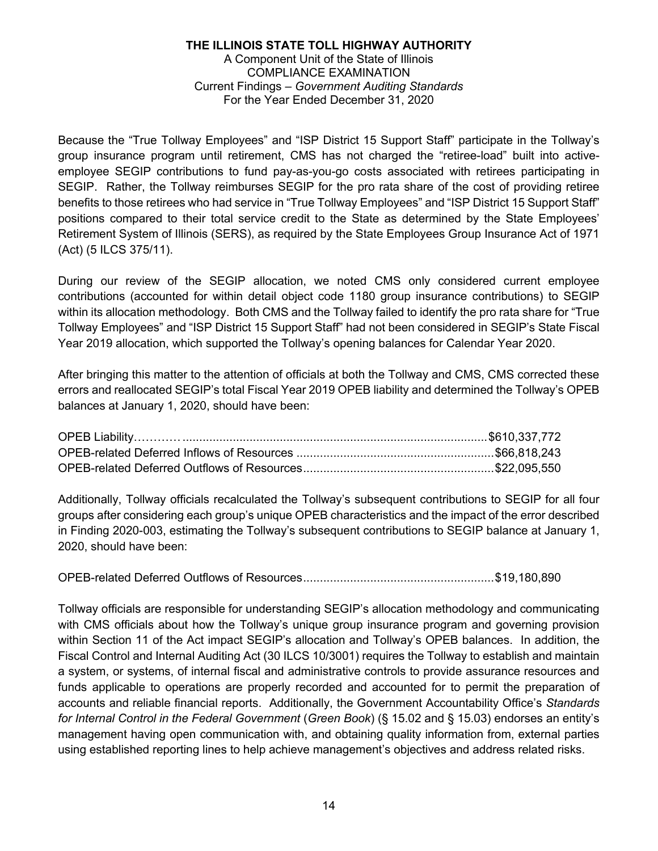Because the "True Tollway Employees" and "ISP District 15 Support Staff" participate in the Tollway's group insurance program until retirement, CMS has not charged the "retiree-load" built into activeemployee SEGIP contributions to fund pay-as-you-go costs associated with retirees participating in SEGIP. Rather, the Tollway reimburses SEGIP for the pro rata share of the cost of providing retiree benefits to those retirees who had service in "True Tollway Employees" and "ISP District 15 Support Staff" positions compared to their total service credit to the State as determined by the State Employees' Retirement System of Illinois (SERS), as required by the State Employees Group Insurance Act of 1971 (Act) (5 ILCS 375/11).

During our review of the SEGIP allocation, we noted CMS only considered current employee contributions (accounted for within detail object code 1180 group insurance contributions) to SEGIP within its allocation methodology. Both CMS and the Tollway failed to identify the pro rata share for "True Tollway Employees" and "ISP District 15 Support Staff" had not been considered in SEGIP's State Fiscal Year 2019 allocation, which supported the Tollway's opening balances for Calendar Year 2020.

After bringing this matter to the attention of officials at both the Tollway and CMS, CMS corrected these errors and reallocated SEGIP's total Fiscal Year 2019 OPEB liability and determined the Tollway's OPEB balances at January 1, 2020, should have been:

Additionally, Tollway officials recalculated the Tollway's subsequent contributions to SEGIP for all four groups after considering each group's unique OPEB characteristics and the impact of the error described in Finding 2020-003, estimating the Tollway's subsequent contributions to SEGIP balance at January 1, 2020, should have been:

OPEB-related Deferred Outflows of Resources.........................................................\$19,180,890

Tollway officials are responsible for understanding SEGIP's allocation methodology and communicating with CMS officials about how the Tollway's unique group insurance program and governing provision within Section 11 of the Act impact SEGIP's allocation and Tollway's OPEB balances. In addition, the Fiscal Control and Internal Auditing Act (30 ILCS 10/3001) requires the Tollway to establish and maintain a system, or systems, of internal fiscal and administrative controls to provide assurance resources and funds applicable to operations are properly recorded and accounted for to permit the preparation of accounts and reliable financial reports. Additionally, the Government Accountability Office's *Standards for Internal Control in the Federal Government* (*Green Book*) (§ 15.02 and § 15.03) endorses an entity's management having open communication with, and obtaining quality information from, external parties using established reporting lines to help achieve management's objectives and address related risks.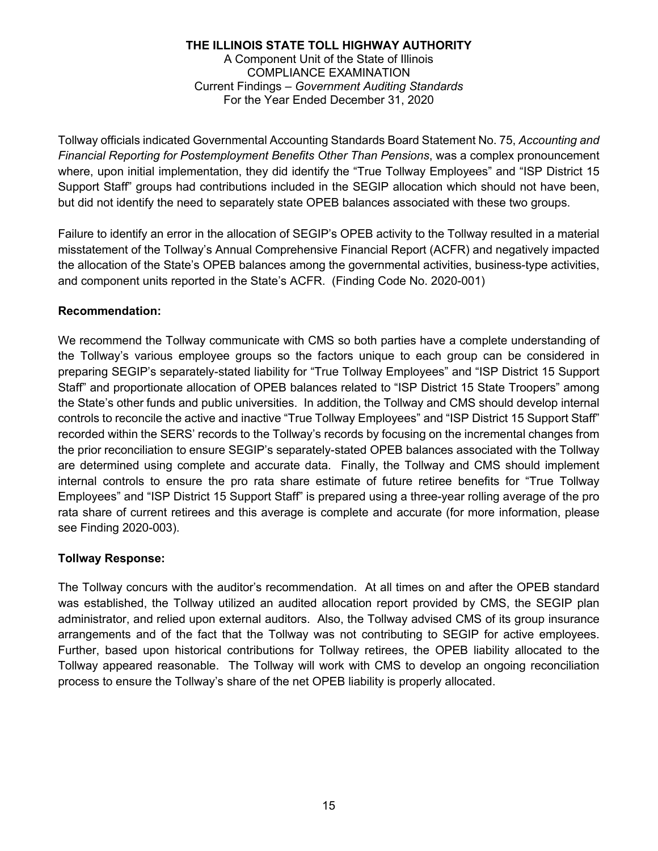Tollway officials indicated Governmental Accounting Standards Board Statement No. 75, *Accounting and Financial Reporting for Postemployment Benefits Other Than Pensions*, was a complex pronouncement where, upon initial implementation, they did identify the "True Tollway Employees" and "ISP District 15 Support Staff" groups had contributions included in the SEGIP allocation which should not have been, but did not identify the need to separately state OPEB balances associated with these two groups.

Failure to identify an error in the allocation of SEGIP's OPEB activity to the Tollway resulted in a material misstatement of the Tollway's Annual Comprehensive Financial Report (ACFR) and negatively impacted the allocation of the State's OPEB balances among the governmental activities, business-type activities, and component units reported in the State's ACFR. (Finding Code No. 2020-001)

### **Recommendation:**

We recommend the Tollway communicate with CMS so both parties have a complete understanding of the Tollway's various employee groups so the factors unique to each group can be considered in preparing SEGIP's separately-stated liability for "True Tollway Employees" and "ISP District 15 Support Staff" and proportionate allocation of OPEB balances related to "ISP District 15 State Troopers" among the State's other funds and public universities. In addition, the Tollway and CMS should develop internal controls to reconcile the active and inactive "True Tollway Employees" and "ISP District 15 Support Staff" recorded within the SERS' records to the Tollway's records by focusing on the incremental changes from the prior reconciliation to ensure SEGIP's separately-stated OPEB balances associated with the Tollway are determined using complete and accurate data. Finally, the Tollway and CMS should implement internal controls to ensure the pro rata share estimate of future retiree benefits for "True Tollway Employees" and "ISP District 15 Support Staff" is prepared using a three-year rolling average of the pro rata share of current retirees and this average is complete and accurate (for more information, please see Finding 2020-003).

### **Tollway Response:**

The Tollway concurs with the auditor's recommendation. At all times on and after the OPEB standard was established, the Tollway utilized an audited allocation report provided by CMS, the SEGIP plan administrator, and relied upon external auditors. Also, the Tollway advised CMS of its group insurance arrangements and of the fact that the Tollway was not contributing to SEGIP for active employees. Further, based upon historical contributions for Tollway retirees, the OPEB liability allocated to the Tollway appeared reasonable. The Tollway will work with CMS to develop an ongoing reconciliation process to ensure the Tollway's share of the net OPEB liability is properly allocated.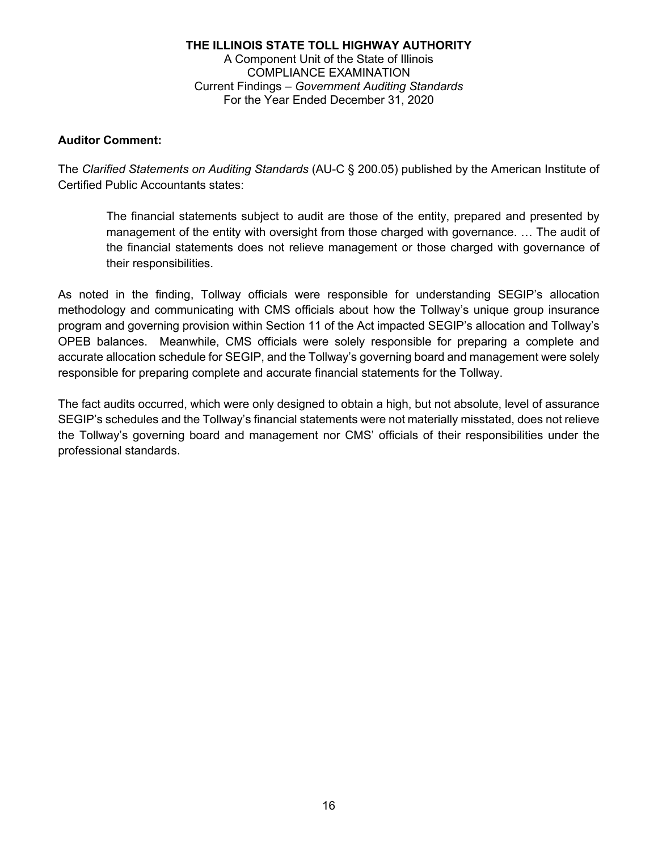### **Auditor Comment:**

The *Clarified Statements on Auditing Standards* (AU-C § 200.05) published by the American Institute of Certified Public Accountants states:

The financial statements subject to audit are those of the entity, prepared and presented by management of the entity with oversight from those charged with governance. … The audit of the financial statements does not relieve management or those charged with governance of their responsibilities.

As noted in the finding, Tollway officials were responsible for understanding SEGIP's allocation methodology and communicating with CMS officials about how the Tollway's unique group insurance program and governing provision within Section 11 of the Act impacted SEGIP's allocation and Tollway's OPEB balances. Meanwhile, CMS officials were solely responsible for preparing a complete and accurate allocation schedule for SEGIP, and the Tollway's governing board and management were solely responsible for preparing complete and accurate financial statements for the Tollway.

The fact audits occurred, which were only designed to obtain a high, but not absolute, level of assurance SEGIP's schedules and the Tollway's financial statements were not materially misstated, does not relieve the Tollway's governing board and management nor CMS' officials of their responsibilities under the professional standards.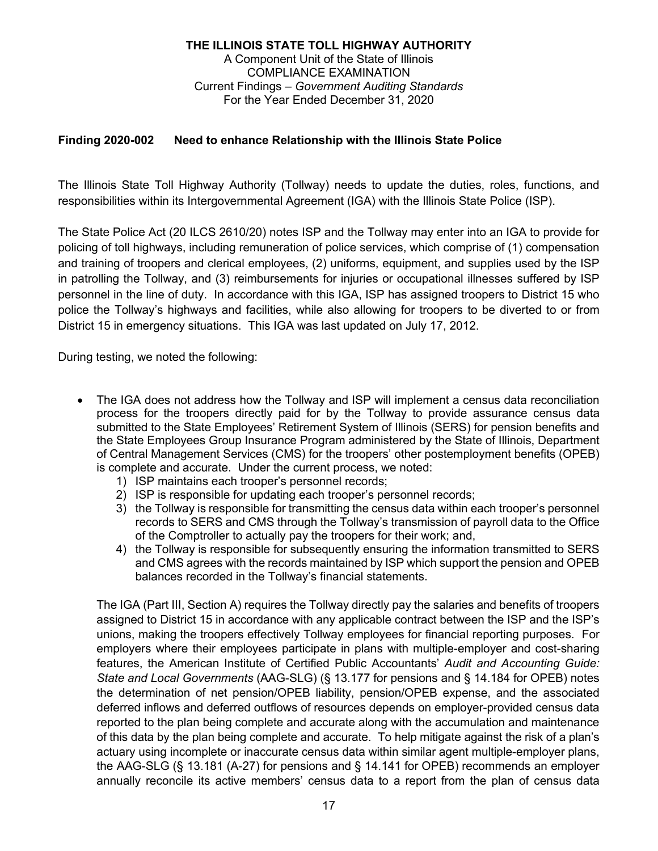### **Finding 2020-002 Need to enhance Relationship with the Illinois State Police**

The Illinois State Toll Highway Authority (Tollway) needs to update the duties, roles, functions, and responsibilities within its Intergovernmental Agreement (IGA) with the Illinois State Police (ISP).

The State Police Act (20 ILCS 2610/20) notes ISP and the Tollway may enter into an IGA to provide for policing of toll highways, including remuneration of police services, which comprise of (1) compensation and training of troopers and clerical employees, (2) uniforms, equipment, and supplies used by the ISP in patrolling the Tollway, and (3) reimbursements for injuries or occupational illnesses suffered by ISP personnel in the line of duty. In accordance with this IGA, ISP has assigned troopers to District 15 who police the Tollway's highways and facilities, while also allowing for troopers to be diverted to or from District 15 in emergency situations. This IGA was last updated on July 17, 2012.

During testing, we noted the following:

- The IGA does not address how the Tollway and ISP will implement a census data reconciliation process for the troopers directly paid for by the Tollway to provide assurance census data submitted to the State Employees' Retirement System of Illinois (SERS) for pension benefits and the State Employees Group Insurance Program administered by the State of Illinois, Department of Central Management Services (CMS) for the troopers' other postemployment benefits (OPEB) is complete and accurate. Under the current process, we noted:
	- 1) ISP maintains each trooper's personnel records;
	- 2) ISP is responsible for updating each trooper's personnel records;
	- 3) the Tollway is responsible for transmitting the census data within each trooper's personnel records to SERS and CMS through the Tollway's transmission of payroll data to the Office of the Comptroller to actually pay the troopers for their work; and,
	- 4) the Tollway is responsible for subsequently ensuring the information transmitted to SERS and CMS agrees with the records maintained by ISP which support the pension and OPEB balances recorded in the Tollway's financial statements.

The IGA (Part III, Section A) requires the Tollway directly pay the salaries and benefits of troopers assigned to District 15 in accordance with any applicable contract between the ISP and the ISP's unions, making the troopers effectively Tollway employees for financial reporting purposes. For employers where their employees participate in plans with multiple-employer and cost-sharing features, the American Institute of Certified Public Accountants' *Audit and Accounting Guide: State and Local Governments* (AAG-SLG) (§ 13.177 for pensions and § 14.184 for OPEB) notes the determination of net pension/OPEB liability, pension/OPEB expense, and the associated deferred inflows and deferred outflows of resources depends on employer-provided census data reported to the plan being complete and accurate along with the accumulation and maintenance of this data by the plan being complete and accurate. To help mitigate against the risk of a plan's actuary using incomplete or inaccurate census data within similar agent multiple-employer plans, the AAG-SLG (§ 13.181 (A-27) for pensions and § 14.141 for OPEB) recommends an employer annually reconcile its active members' census data to a report from the plan of census data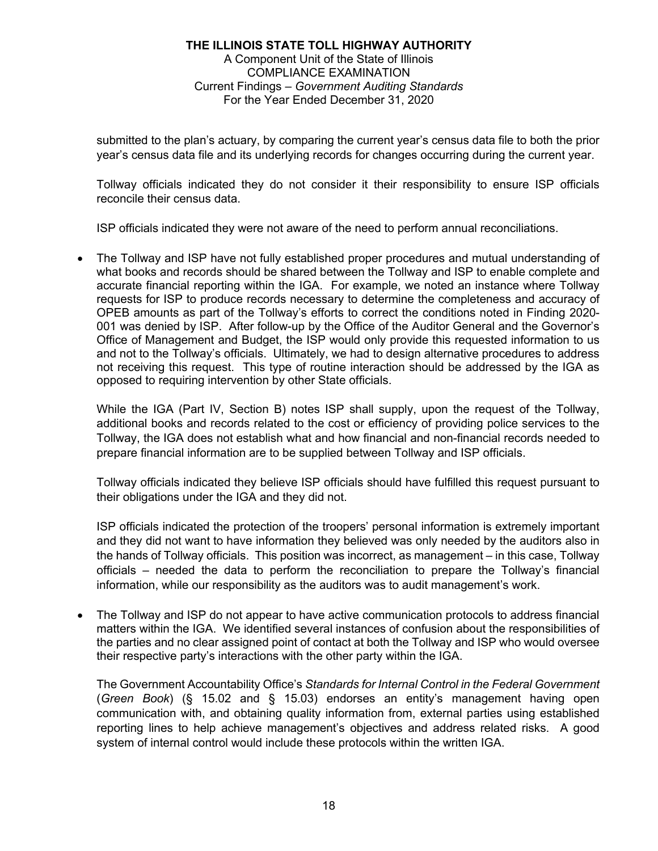submitted to the plan's actuary, by comparing the current year's census data file to both the prior year's census data file and its underlying records for changes occurring during the current year.

Tollway officials indicated they do not consider it their responsibility to ensure ISP officials reconcile their census data.

ISP officials indicated they were not aware of the need to perform annual reconciliations.

 The Tollway and ISP have not fully established proper procedures and mutual understanding of what books and records should be shared between the Tollway and ISP to enable complete and accurate financial reporting within the IGA. For example, we noted an instance where Tollway requests for ISP to produce records necessary to determine the completeness and accuracy of OPEB amounts as part of the Tollway's efforts to correct the conditions noted in Finding 2020- 001 was denied by ISP. After follow-up by the Office of the Auditor General and the Governor's Office of Management and Budget, the ISP would only provide this requested information to us and not to the Tollway's officials. Ultimately, we had to design alternative procedures to address not receiving this request. This type of routine interaction should be addressed by the IGA as opposed to requiring intervention by other State officials.

While the IGA (Part IV, Section B) notes ISP shall supply, upon the request of the Tollway, additional books and records related to the cost or efficiency of providing police services to the Tollway, the IGA does not establish what and how financial and non-financial records needed to prepare financial information are to be supplied between Tollway and ISP officials.

Tollway officials indicated they believe ISP officials should have fulfilled this request pursuant to their obligations under the IGA and they did not.

ISP officials indicated the protection of the troopers' personal information is extremely important and they did not want to have information they believed was only needed by the auditors also in the hands of Tollway officials. This position was incorrect, as management – in this case, Tollway officials – needed the data to perform the reconciliation to prepare the Tollway's financial information, while our responsibility as the auditors was to audit management's work.

 The Tollway and ISP do not appear to have active communication protocols to address financial matters within the IGA. We identified several instances of confusion about the responsibilities of the parties and no clear assigned point of contact at both the Tollway and ISP who would oversee their respective party's interactions with the other party within the IGA.

The Government Accountability Office's *Standards for Internal Control in the Federal Government* (*Green Book*) (§ 15.02 and § 15.03) endorses an entity's management having open communication with, and obtaining quality information from, external parties using established reporting lines to help achieve management's objectives and address related risks. A good system of internal control would include these protocols within the written IGA.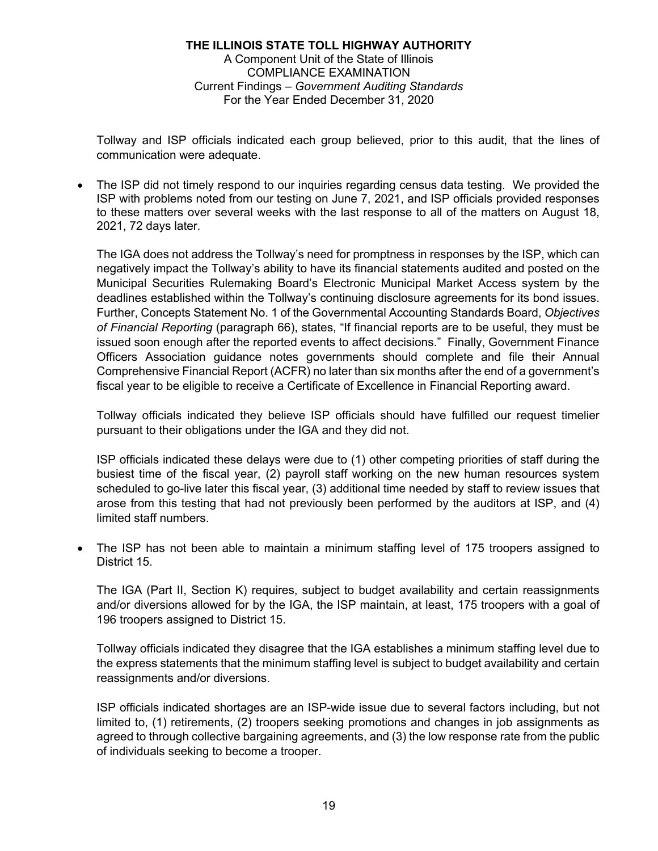Tollway and ISP officials indicated each group believed, prior to this audit, that the lines of communication were adequate.

 The ISP did not timely respond to our inquiries regarding census data testing. We provided the ISP with problems noted from our testing on June 7, 2021, and ISP officials provided responses to these matters over several weeks with the last response to all of the matters on August 18, 2021, 72 days later.

The IGA does not address the Tollway's need for promptness in responses by the ISP, which can negatively impact the Tollway's ability to have its financial statements audited and posted on the Municipal Securities Rulemaking Board's Electronic Municipal Market Access system by the deadlines established within the Tollway's continuing disclosure agreements for its bond issues. Further, Concepts Statement No. 1 of the Governmental Accounting Standards Board, *Objectives of Financial Reporting* (paragraph 66), states, "If financial reports are to be useful, they must be issued soon enough after the reported events to affect decisions." Finally, Government Finance Officers Association guidance notes governments should complete and file their Annual Comprehensive Financial Report (ACFR) no later than six months after the end of a government's fiscal year to be eligible to receive a Certificate of Excellence in Financial Reporting award.

Tollway officials indicated they believe ISP officials should have fulfilled our request timelier pursuant to their obligations under the IGA and they did not.

ISP officials indicated these delays were due to (1) other competing priorities of staff during the busiest time of the fiscal year, (2) payroll staff working on the new human resources system scheduled to go-live later this fiscal year, (3) additional time needed by staff to review issues that arose from this testing that had not previously been performed by the auditors at ISP, and (4) limited staff numbers.

 The ISP has not been able to maintain a minimum staffing level of 175 troopers assigned to District 15.

The IGA (Part II, Section K) requires, subject to budget availability and certain reassignments and/or diversions allowed for by the IGA, the ISP maintain, at least, 175 troopers with a goal of 196 troopers assigned to District 15.

Tollway officials indicated they disagree that the IGA establishes a minimum staffing level due to the express statements that the minimum staffing level is subject to budget availability and certain reassignments and/or diversions.

ISP officials indicated shortages are an ISP-wide issue due to several factors including, but not limited to, (1) retirements, (2) troopers seeking promotions and changes in job assignments as agreed to through collective bargaining agreements, and (3) the low response rate from the public of individuals seeking to become a trooper.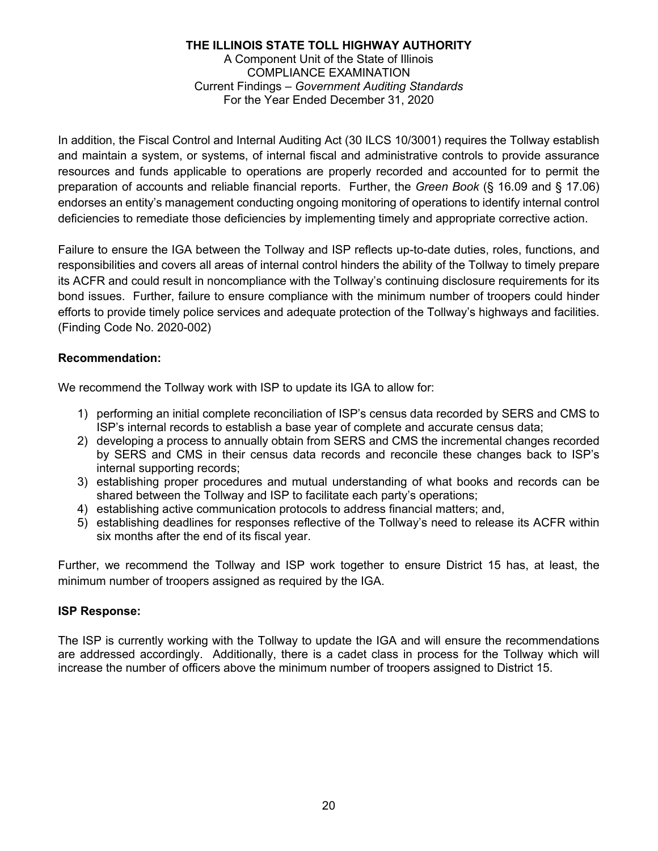In addition, the Fiscal Control and Internal Auditing Act (30 ILCS 10/3001) requires the Tollway establish and maintain a system, or systems, of internal fiscal and administrative controls to provide assurance resources and funds applicable to operations are properly recorded and accounted for to permit the preparation of accounts and reliable financial reports. Further, the *Green Book* (§ 16.09 and § 17.06) endorses an entity's management conducting ongoing monitoring of operations to identify internal control deficiencies to remediate those deficiencies by implementing timely and appropriate corrective action.

Failure to ensure the IGA between the Tollway and ISP reflects up-to-date duties, roles, functions, and responsibilities and covers all areas of internal control hinders the ability of the Tollway to timely prepare its ACFR and could result in noncompliance with the Tollway's continuing disclosure requirements for its bond issues. Further, failure to ensure compliance with the minimum number of troopers could hinder efforts to provide timely police services and adequate protection of the Tollway's highways and facilities. (Finding Code No. 2020-002)

### **Recommendation:**

We recommend the Tollway work with ISP to update its IGA to allow for:

- 1) performing an initial complete reconciliation of ISP's census data recorded by SERS and CMS to ISP's internal records to establish a base year of complete and accurate census data;
- 2) developing a process to annually obtain from SERS and CMS the incremental changes recorded by SERS and CMS in their census data records and reconcile these changes back to ISP's internal supporting records;
- 3) establishing proper procedures and mutual understanding of what books and records can be shared between the Tollway and ISP to facilitate each party's operations;
- 4) establishing active communication protocols to address financial matters; and,
- 5) establishing deadlines for responses reflective of the Tollway's need to release its ACFR within six months after the end of its fiscal year.

Further, we recommend the Tollway and ISP work together to ensure District 15 has, at least, the minimum number of troopers assigned as required by the IGA.

### **ISP Response:**

The ISP is currently working with the Tollway to update the IGA and will ensure the recommendations are addressed accordingly. Additionally, there is a cadet class in process for the Tollway which will increase the number of officers above the minimum number of troopers assigned to District 15.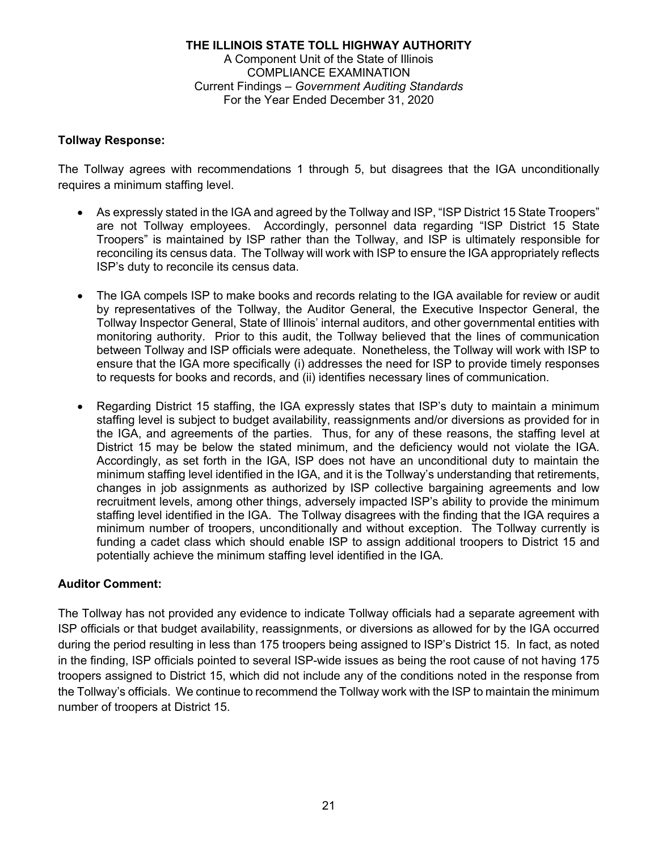### **Tollway Response:**

The Tollway agrees with recommendations 1 through 5, but disagrees that the IGA unconditionally requires a minimum staffing level.

- As expressly stated in the IGA and agreed by the Tollway and ISP, "ISP District 15 State Troopers" are not Tollway employees. Accordingly, personnel data regarding "ISP District 15 State Troopers" is maintained by ISP rather than the Tollway, and ISP is ultimately responsible for reconciling its census data. The Tollway will work with ISP to ensure the IGA appropriately reflects ISP's duty to reconcile its census data.
- The IGA compels ISP to make books and records relating to the IGA available for review or audit by representatives of the Tollway, the Auditor General, the Executive Inspector General, the Tollway Inspector General, State of Illinois' internal auditors, and other governmental entities with monitoring authority. Prior to this audit, the Tollway believed that the lines of communication between Tollway and ISP officials were adequate. Nonetheless, the Tollway will work with ISP to ensure that the IGA more specifically (i) addresses the need for ISP to provide timely responses to requests for books and records, and (ii) identifies necessary lines of communication.
- Regarding District 15 staffing, the IGA expressly states that ISP's duty to maintain a minimum staffing level is subject to budget availability, reassignments and/or diversions as provided for in the IGA, and agreements of the parties. Thus, for any of these reasons, the staffing level at District 15 may be below the stated minimum, and the deficiency would not violate the IGA. Accordingly, as set forth in the IGA, ISP does not have an unconditional duty to maintain the minimum staffing level identified in the IGA, and it is the Tollway's understanding that retirements, changes in job assignments as authorized by ISP collective bargaining agreements and low recruitment levels, among other things, adversely impacted ISP's ability to provide the minimum staffing level identified in the IGA. The Tollway disagrees with the finding that the IGA requires a minimum number of troopers, unconditionally and without exception. The Tollway currently is funding a cadet class which should enable ISP to assign additional troopers to District 15 and potentially achieve the minimum staffing level identified in the IGA.

### **Auditor Comment:**

The Tollway has not provided any evidence to indicate Tollway officials had a separate agreement with ISP officials or that budget availability, reassignments, or diversions as allowed for by the IGA occurred during the period resulting in less than 175 troopers being assigned to ISP's District 15. In fact, as noted in the finding, ISP officials pointed to several ISP-wide issues as being the root cause of not having 175 troopers assigned to District 15, which did not include any of the conditions noted in the response from the Tollway's officials. We continue to recommend the Tollway work with the ISP to maintain the minimum number of troopers at District 15.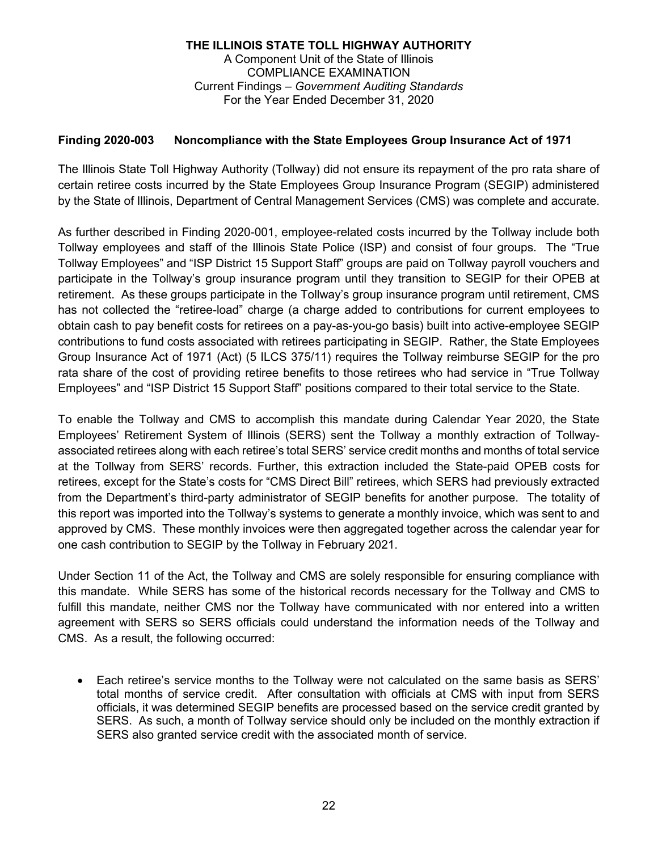### **Finding 2020-003 Noncompliance with the State Employees Group Insurance Act of 1971**

The Illinois State Toll Highway Authority (Tollway) did not ensure its repayment of the pro rata share of certain retiree costs incurred by the State Employees Group Insurance Program (SEGIP) administered by the State of Illinois, Department of Central Management Services (CMS) was complete and accurate.

As further described in Finding 2020-001, employee-related costs incurred by the Tollway include both Tollway employees and staff of the Illinois State Police (ISP) and consist of four groups. The "True Tollway Employees" and "ISP District 15 Support Staff" groups are paid on Tollway payroll vouchers and participate in the Tollway's group insurance program until they transition to SEGIP for their OPEB at retirement. As these groups participate in the Tollway's group insurance program until retirement, CMS has not collected the "retiree-load" charge (a charge added to contributions for current employees to obtain cash to pay benefit costs for retirees on a pay-as-you-go basis) built into active-employee SEGIP contributions to fund costs associated with retirees participating in SEGIP. Rather, the State Employees Group Insurance Act of 1971 (Act) (5 ILCS 375/11) requires the Tollway reimburse SEGIP for the pro rata share of the cost of providing retiree benefits to those retirees who had service in "True Tollway Employees" and "ISP District 15 Support Staff" positions compared to their total service to the State.

To enable the Tollway and CMS to accomplish this mandate during Calendar Year 2020, the State Employees' Retirement System of Illinois (SERS) sent the Tollway a monthly extraction of Tollwayassociated retirees along with each retiree's total SERS' service credit months and months of total service at the Tollway from SERS' records. Further, this extraction included the State-paid OPEB costs for retirees, except for the State's costs for "CMS Direct Bill" retirees, which SERS had previously extracted from the Department's third-party administrator of SEGIP benefits for another purpose. The totality of this report was imported into the Tollway's systems to generate a monthly invoice, which was sent to and approved by CMS. These monthly invoices were then aggregated together across the calendar year for one cash contribution to SEGIP by the Tollway in February 2021.

Under Section 11 of the Act, the Tollway and CMS are solely responsible for ensuring compliance with this mandate. While SERS has some of the historical records necessary for the Tollway and CMS to fulfill this mandate, neither CMS nor the Tollway have communicated with nor entered into a written agreement with SERS so SERS officials could understand the information needs of the Tollway and CMS. As a result, the following occurred:

 Each retiree's service months to the Tollway were not calculated on the same basis as SERS' total months of service credit. After consultation with officials at CMS with input from SERS officials, it was determined SEGIP benefits are processed based on the service credit granted by SERS. As such, a month of Tollway service should only be included on the monthly extraction if SERS also granted service credit with the associated month of service.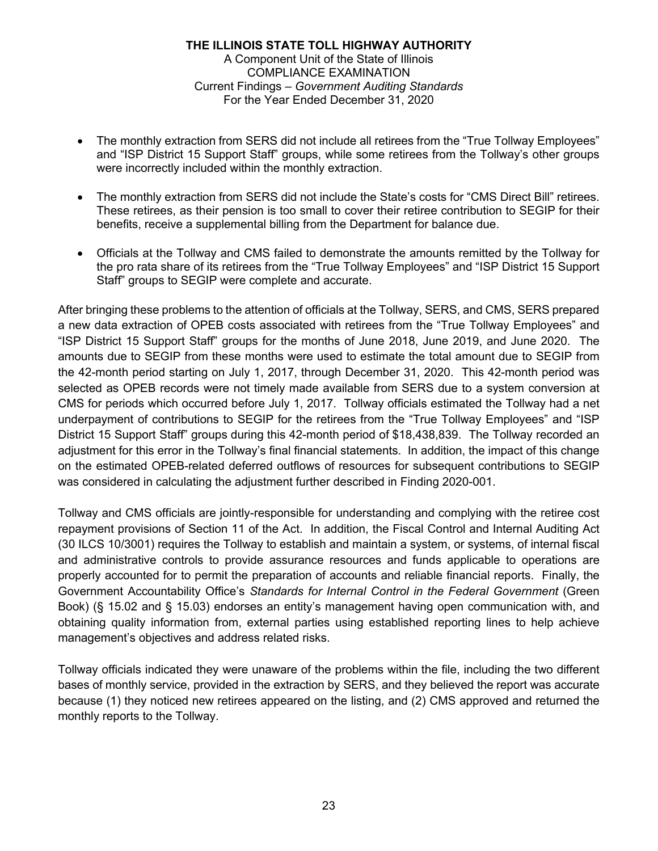- The monthly extraction from SERS did not include all retirees from the "True Tollway Employees" and "ISP District 15 Support Staff" groups, while some retirees from the Tollway's other groups were incorrectly included within the monthly extraction.
- The monthly extraction from SERS did not include the State's costs for "CMS Direct Bill" retirees. These retirees, as their pension is too small to cover their retiree contribution to SEGIP for their benefits, receive a supplemental billing from the Department for balance due.
- Officials at the Tollway and CMS failed to demonstrate the amounts remitted by the Tollway for the pro rata share of its retirees from the "True Tollway Employees" and "ISP District 15 Support Staff" groups to SEGIP were complete and accurate.

After bringing these problems to the attention of officials at the Tollway, SERS, and CMS, SERS prepared a new data extraction of OPEB costs associated with retirees from the "True Tollway Employees" and "ISP District 15 Support Staff" groups for the months of June 2018, June 2019, and June 2020. The amounts due to SEGIP from these months were used to estimate the total amount due to SEGIP from the 42-month period starting on July 1, 2017, through December 31, 2020. This 42-month period was selected as OPEB records were not timely made available from SERS due to a system conversion at CMS for periods which occurred before July 1, 2017. Tollway officials estimated the Tollway had a net underpayment of contributions to SEGIP for the retirees from the "True Tollway Employees" and "ISP District 15 Support Staff" groups during this 42-month period of \$18,438,839. The Tollway recorded an adjustment for this error in the Tollway's final financial statements. In addition, the impact of this change on the estimated OPEB-related deferred outflows of resources for subsequent contributions to SEGIP was considered in calculating the adjustment further described in Finding 2020-001.

Tollway and CMS officials are jointly-responsible for understanding and complying with the retiree cost repayment provisions of Section 11 of the Act. In addition, the Fiscal Control and Internal Auditing Act (30 ILCS 10/3001) requires the Tollway to establish and maintain a system, or systems, of internal fiscal and administrative controls to provide assurance resources and funds applicable to operations are properly accounted for to permit the preparation of accounts and reliable financial reports. Finally, the Government Accountability Office's *Standards for Internal Control in the Federal Government* (Green Book) (§ 15.02 and § 15.03) endorses an entity's management having open communication with, and obtaining quality information from, external parties using established reporting lines to help achieve management's objectives and address related risks.

Tollway officials indicated they were unaware of the problems within the file, including the two different bases of monthly service, provided in the extraction by SERS, and they believed the report was accurate because (1) they noticed new retirees appeared on the listing, and (2) CMS approved and returned the monthly reports to the Tollway.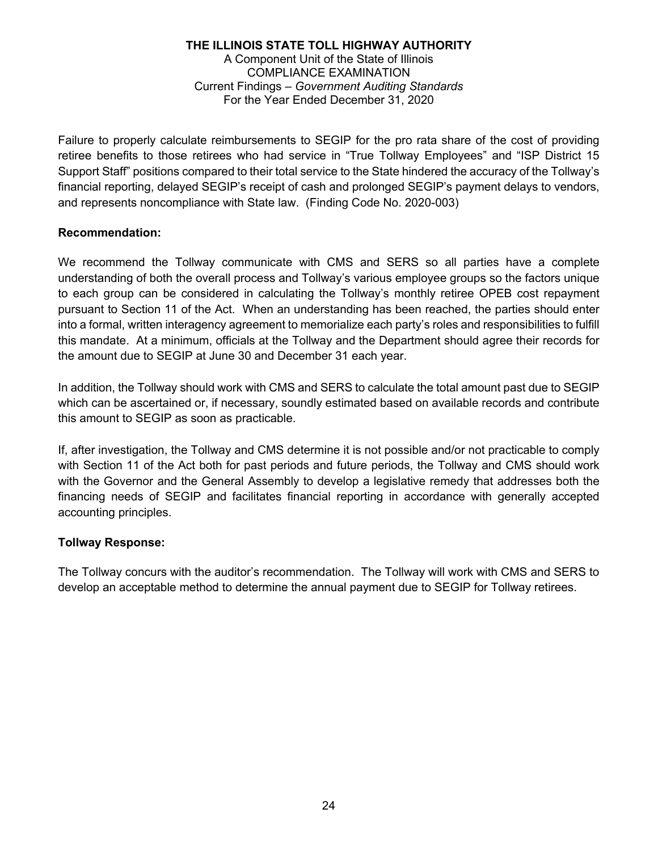Failure to properly calculate reimbursements to SEGIP for the pro rata share of the cost of providing retiree benefits to those retirees who had service in "True Tollway Employees" and "ISP District 15 Support Staff" positions compared to their total service to the State hindered the accuracy of the Tollway's financial reporting, delayed SEGIP's receipt of cash and prolonged SEGIP's payment delays to vendors, and represents noncompliance with State law. (Finding Code No. 2020-003)

### **Recommendation:**

We recommend the Tollway communicate with CMS and SERS so all parties have a complete understanding of both the overall process and Tollway's various employee groups so the factors unique to each group can be considered in calculating the Tollway's monthly retiree OPEB cost repayment pursuant to Section 11 of the Act. When an understanding has been reached, the parties should enter into a formal, written interagency agreement to memorialize each party's roles and responsibilities to fulfill this mandate. At a minimum, officials at the Tollway and the Department should agree their records for the amount due to SEGIP at June 30 and December 31 each year.

In addition, the Tollway should work with CMS and SERS to calculate the total amount past due to SEGIP which can be ascertained or, if necessary, soundly estimated based on available records and contribute this amount to SEGIP as soon as practicable.

If, after investigation, the Tollway and CMS determine it is not possible and/or not practicable to comply with Section 11 of the Act both for past periods and future periods, the Tollway and CMS should work with the Governor and the General Assembly to develop a legislative remedy that addresses both the financing needs of SEGIP and facilitates financial reporting in accordance with generally accepted accounting principles.

### **Tollway Response:**

The Tollway concurs with the auditor's recommendation. The Tollway will work with CMS and SERS to develop an acceptable method to determine the annual payment due to SEGIP for Tollway retirees.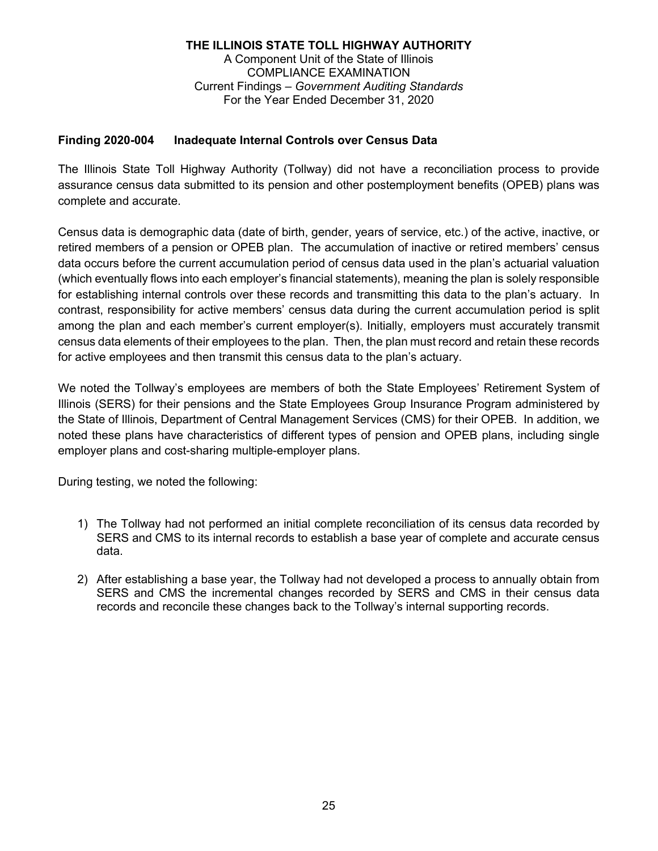### **Finding 2020-004 Inadequate Internal Controls over Census Data**

The Illinois State Toll Highway Authority (Tollway) did not have a reconciliation process to provide assurance census data submitted to its pension and other postemployment benefits (OPEB) plans was complete and accurate.

Census data is demographic data (date of birth, gender, years of service, etc.) of the active, inactive, or retired members of a pension or OPEB plan. The accumulation of inactive or retired members' census data occurs before the current accumulation period of census data used in the plan's actuarial valuation (which eventually flows into each employer's financial statements), meaning the plan is solely responsible for establishing internal controls over these records and transmitting this data to the plan's actuary. In contrast, responsibility for active members' census data during the current accumulation period is split among the plan and each member's current employer(s). Initially, employers must accurately transmit census data elements of their employees to the plan. Then, the plan must record and retain these records for active employees and then transmit this census data to the plan's actuary.

We noted the Tollway's employees are members of both the State Employees' Retirement System of Illinois (SERS) for their pensions and the State Employees Group Insurance Program administered by the State of Illinois, Department of Central Management Services (CMS) for their OPEB. In addition, we noted these plans have characteristics of different types of pension and OPEB plans, including single employer plans and cost-sharing multiple-employer plans.

During testing, we noted the following:

- 1) The Tollway had not performed an initial complete reconciliation of its census data recorded by SERS and CMS to its internal records to establish a base year of complete and accurate census data.
- 2) After establishing a base year, the Tollway had not developed a process to annually obtain from SERS and CMS the incremental changes recorded by SERS and CMS in their census data records and reconcile these changes back to the Tollway's internal supporting records.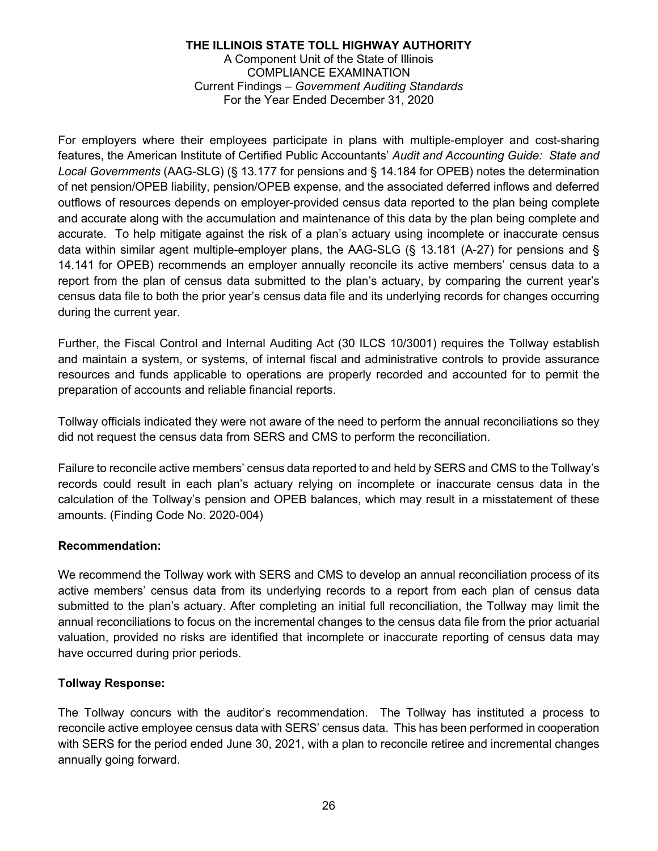For employers where their employees participate in plans with multiple-employer and cost-sharing features, the American Institute of Certified Public Accountants' *Audit and Accounting Guide: State and Local Governments* (AAG-SLG) (§ 13.177 for pensions and § 14.184 for OPEB) notes the determination of net pension/OPEB liability, pension/OPEB expense, and the associated deferred inflows and deferred outflows of resources depends on employer-provided census data reported to the plan being complete and accurate along with the accumulation and maintenance of this data by the plan being complete and accurate. To help mitigate against the risk of a plan's actuary using incomplete or inaccurate census data within similar agent multiple-employer plans, the AAG-SLG (§ 13.181 (A-27) for pensions and § 14.141 for OPEB) recommends an employer annually reconcile its active members' census data to a report from the plan of census data submitted to the plan's actuary, by comparing the current year's census data file to both the prior year's census data file and its underlying records for changes occurring during the current year.

Further, the Fiscal Control and Internal Auditing Act (30 ILCS 10/3001) requires the Tollway establish and maintain a system, or systems, of internal fiscal and administrative controls to provide assurance resources and funds applicable to operations are properly recorded and accounted for to permit the preparation of accounts and reliable financial reports.

Tollway officials indicated they were not aware of the need to perform the annual reconciliations so they did not request the census data from SERS and CMS to perform the reconciliation.

Failure to reconcile active members' census data reported to and held by SERS and CMS to the Tollway's records could result in each plan's actuary relying on incomplete or inaccurate census data in the calculation of the Tollway's pension and OPEB balances, which may result in a misstatement of these amounts. (Finding Code No. 2020-004)

### **Recommendation:**

We recommend the Tollway work with SERS and CMS to develop an annual reconciliation process of its active members' census data from its underlying records to a report from each plan of census data submitted to the plan's actuary. After completing an initial full reconciliation, the Tollway may limit the annual reconciliations to focus on the incremental changes to the census data file from the prior actuarial valuation, provided no risks are identified that incomplete or inaccurate reporting of census data may have occurred during prior periods.

### **Tollway Response:**

The Tollway concurs with the auditor's recommendation. The Tollway has instituted a process to reconcile active employee census data with SERS' census data. This has been performed in cooperation with SERS for the period ended June 30, 2021, with a plan to reconcile retiree and incremental changes annually going forward.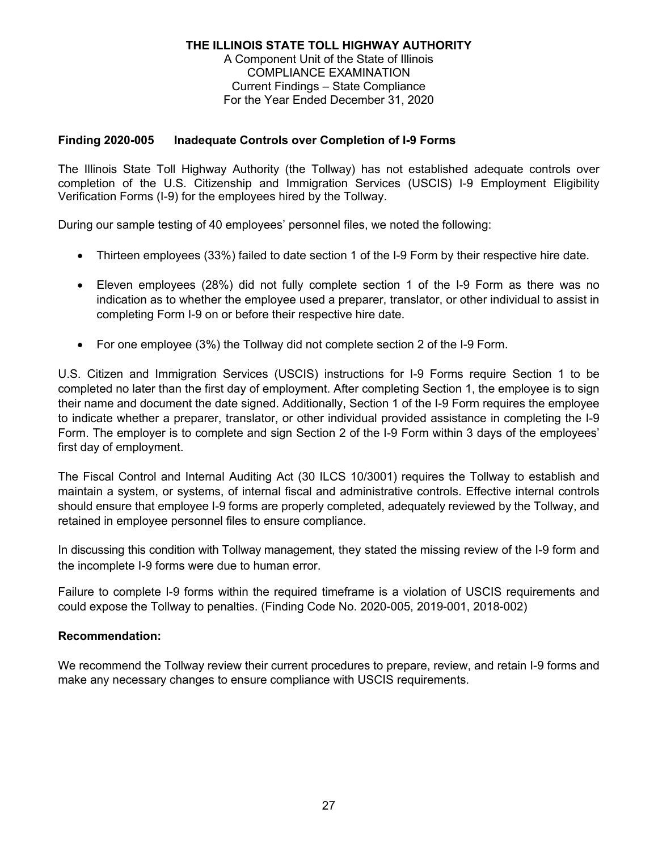### **Finding 2020-005 Inadequate Controls over Completion of I-9 Forms**

The Illinois State Toll Highway Authority (the Tollway) has not established adequate controls over completion of the U.S. Citizenship and Immigration Services (USCIS) I-9 Employment Eligibility Verification Forms (I-9) for the employees hired by the Tollway.

During our sample testing of 40 employees' personnel files, we noted the following:

- Thirteen employees (33%) failed to date section 1 of the I-9 Form by their respective hire date.
- Eleven employees (28%) did not fully complete section 1 of the I-9 Form as there was no indication as to whether the employee used a preparer, translator, or other individual to assist in completing Form I-9 on or before their respective hire date.
- For one employee (3%) the Tollway did not complete section 2 of the I-9 Form.

U.S. Citizen and Immigration Services (USCIS) instructions for I-9 Forms require Section 1 to be completed no later than the first day of employment. After completing Section 1, the employee is to sign their name and document the date signed. Additionally, Section 1 of the I-9 Form requires the employee to indicate whether a preparer, translator, or other individual provided assistance in completing the I-9 Form. The employer is to complete and sign Section 2 of the I-9 Form within 3 days of the employees' first day of employment.

The Fiscal Control and Internal Auditing Act (30 ILCS 10/3001) requires the Tollway to establish and maintain a system, or systems, of internal fiscal and administrative controls. Effective internal controls should ensure that employee I-9 forms are properly completed, adequately reviewed by the Tollway, and retained in employee personnel files to ensure compliance.

In discussing this condition with Tollway management, they stated the missing review of the I-9 form and the incomplete I-9 forms were due to human error.

Failure to complete I-9 forms within the required timeframe is a violation of USCIS requirements and could expose the Tollway to penalties. (Finding Code No. 2020-005, 2019-001, 2018-002)

### **Recommendation:**

We recommend the Tollway review their current procedures to prepare, review, and retain I-9 forms and make any necessary changes to ensure compliance with USCIS requirements.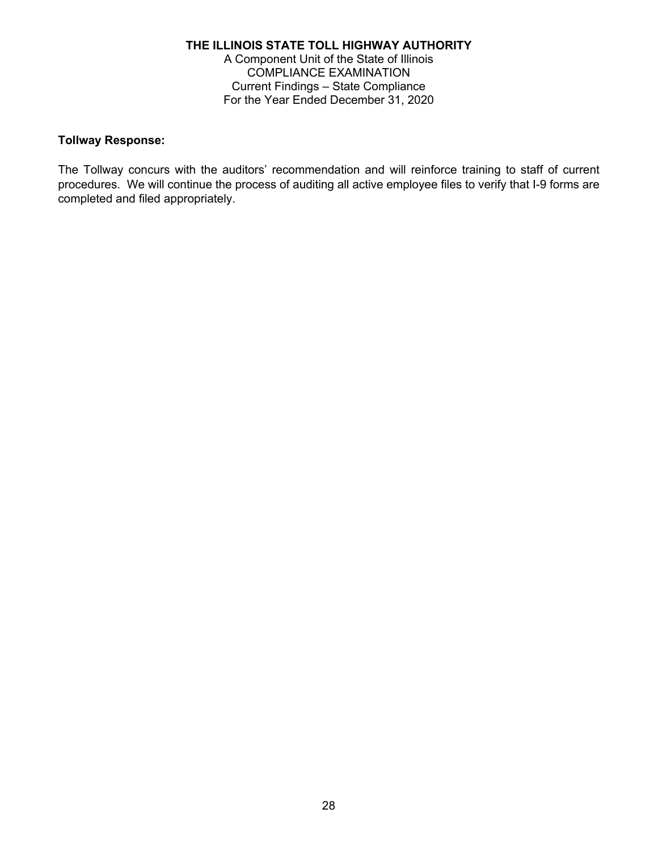#### **Tollway Response:**

The Tollway concurs with the auditors' recommendation and will reinforce training to staff of current procedures. We will continue the process of auditing all active employee files to verify that I-9 forms are completed and filed appropriately.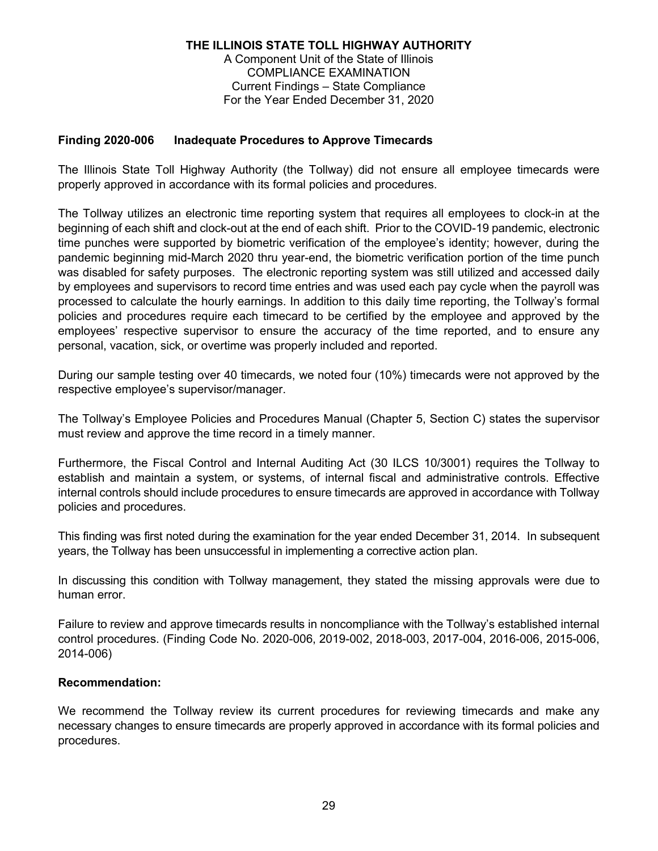### **Finding 2020-006 Inadequate Procedures to Approve Timecards**

The Illinois State Toll Highway Authority (the Tollway) did not ensure all employee timecards were properly approved in accordance with its formal policies and procedures.

The Tollway utilizes an electronic time reporting system that requires all employees to clock-in at the beginning of each shift and clock-out at the end of each shift. Prior to the COVID-19 pandemic, electronic time punches were supported by biometric verification of the employee's identity; however, during the pandemic beginning mid-March 2020 thru year-end, the biometric verification portion of the time punch was disabled for safety purposes. The electronic reporting system was still utilized and accessed daily by employees and supervisors to record time entries and was used each pay cycle when the payroll was processed to calculate the hourly earnings. In addition to this daily time reporting, the Tollway's formal policies and procedures require each timecard to be certified by the employee and approved by the employees' respective supervisor to ensure the accuracy of the time reported, and to ensure any personal, vacation, sick, or overtime was properly included and reported.

During our sample testing over 40 timecards, we noted four (10%) timecards were not approved by the respective employee's supervisor/manager.

The Tollway's Employee Policies and Procedures Manual (Chapter 5, Section C) states the supervisor must review and approve the time record in a timely manner.

Furthermore, the Fiscal Control and Internal Auditing Act (30 ILCS 10/3001) requires the Tollway to establish and maintain a system, or systems, of internal fiscal and administrative controls. Effective internal controls should include procedures to ensure timecards are approved in accordance with Tollway policies and procedures.

This finding was first noted during the examination for the year ended December 31, 2014. In subsequent years, the Tollway has been unsuccessful in implementing a corrective action plan.

In discussing this condition with Tollway management, they stated the missing approvals were due to human error.

Failure to review and approve timecards results in noncompliance with the Tollway's established internal control procedures. (Finding Code No. 2020-006, 2019-002, 2018-003, 2017-004, 2016-006, 2015-006, 2014-006)

### **Recommendation:**

We recommend the Tollway review its current procedures for reviewing timecards and make any necessary changes to ensure timecards are properly approved in accordance with its formal policies and procedures.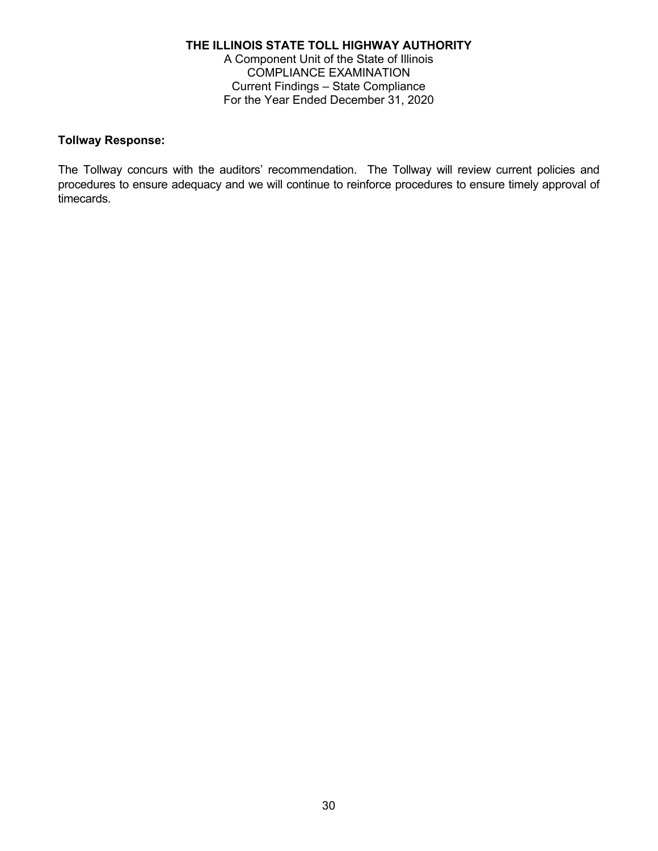#### **Tollway Response:**

The Tollway concurs with the auditors' recommendation. The Tollway will review current policies and procedures to ensure adequacy and we will continue to reinforce procedures to ensure timely approval of timecards.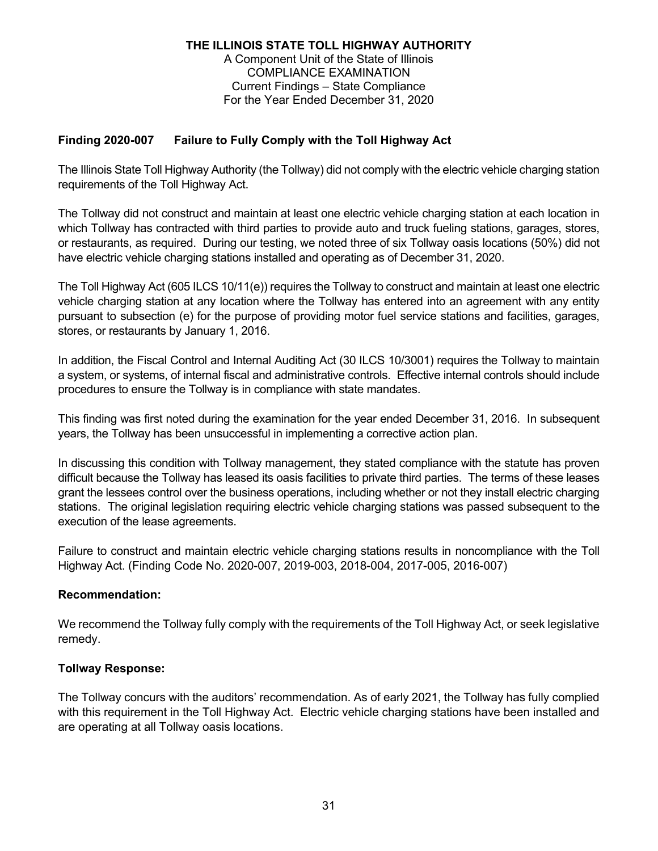### **Finding 2020-007 Failure to Fully Comply with the Toll Highway Act**

The Illinois State Toll Highway Authority (the Tollway) did not comply with the electric vehicle charging station requirements of the Toll Highway Act.

The Tollway did not construct and maintain at least one electric vehicle charging station at each location in which Tollway has contracted with third parties to provide auto and truck fueling stations, garages, stores, or restaurants, as required. During our testing, we noted three of six Tollway oasis locations (50%) did not have electric vehicle charging stations installed and operating as of December 31, 2020.

The Toll Highway Act (605 ILCS 10/11(e)) requires the Tollway to construct and maintain at least one electric vehicle charging station at any location where the Tollway has entered into an agreement with any entity pursuant to subsection (e) for the purpose of providing motor fuel service stations and facilities, garages, stores, or restaurants by January 1, 2016.

In addition, the Fiscal Control and Internal Auditing Act (30 ILCS 10/3001) requires the Tollway to maintain a system, or systems, of internal fiscal and administrative controls. Effective internal controls should include procedures to ensure the Tollway is in compliance with state mandates.

This finding was first noted during the examination for the year ended December 31, 2016. In subsequent years, the Tollway has been unsuccessful in implementing a corrective action plan.

In discussing this condition with Tollway management, they stated compliance with the statute has proven difficult because the Tollway has leased its oasis facilities to private third parties. The terms of these leases grant the lessees control over the business operations, including whether or not they install electric charging stations. The original legislation requiring electric vehicle charging stations was passed subsequent to the execution of the lease agreements.

Failure to construct and maintain electric vehicle charging stations results in noncompliance with the Toll Highway Act. (Finding Code No. 2020-007, 2019-003, 2018-004, 2017-005, 2016-007)

### **Recommendation:**

We recommend the Tollway fully comply with the requirements of the Toll Highway Act, or seek legislative remedy.

### **Tollway Response:**

The Tollway concurs with the auditors' recommendation. As of early 2021, the Tollway has fully complied with this requirement in the Toll Highway Act. Electric vehicle charging stations have been installed and are operating at all Tollway oasis locations.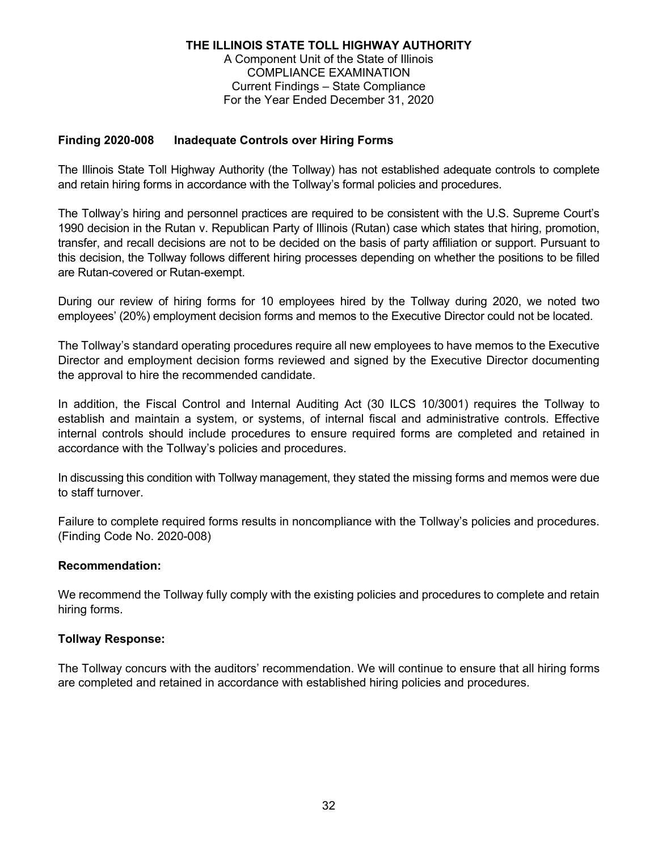### **Finding 2020-008 Inadequate Controls over Hiring Forms**

The Illinois State Toll Highway Authority (the Tollway) has not established adequate controls to complete and retain hiring forms in accordance with the Tollway's formal policies and procedures.

The Tollway's hiring and personnel practices are required to be consistent with the U.S. Supreme Court's 1990 decision in the Rutan v. Republican Party of Illinois (Rutan) case which states that hiring, promotion, transfer, and recall decisions are not to be decided on the basis of party affiliation or support. Pursuant to this decision, the Tollway follows different hiring processes depending on whether the positions to be filled are Rutan-covered or Rutan-exempt.

During our review of hiring forms for 10 employees hired by the Tollway during 2020, we noted two employees' (20%) employment decision forms and memos to the Executive Director could not be located.

The Tollway's standard operating procedures require all new employees to have memos to the Executive Director and employment decision forms reviewed and signed by the Executive Director documenting the approval to hire the recommended candidate.

In addition, the Fiscal Control and Internal Auditing Act (30 ILCS 10/3001) requires the Tollway to establish and maintain a system, or systems, of internal fiscal and administrative controls. Effective internal controls should include procedures to ensure required forms are completed and retained in accordance with the Tollway's policies and procedures.

In discussing this condition with Tollway management, they stated the missing forms and memos were due to staff turnover.

Failure to complete required forms results in noncompliance with the Tollway's policies and procedures. (Finding Code No. 2020-008)

### **Recommendation:**

We recommend the Tollway fully comply with the existing policies and procedures to complete and retain hiring forms.

#### **Tollway Response:**

The Tollway concurs with the auditors' recommendation. We will continue to ensure that all hiring forms are completed and retained in accordance with established hiring policies and procedures.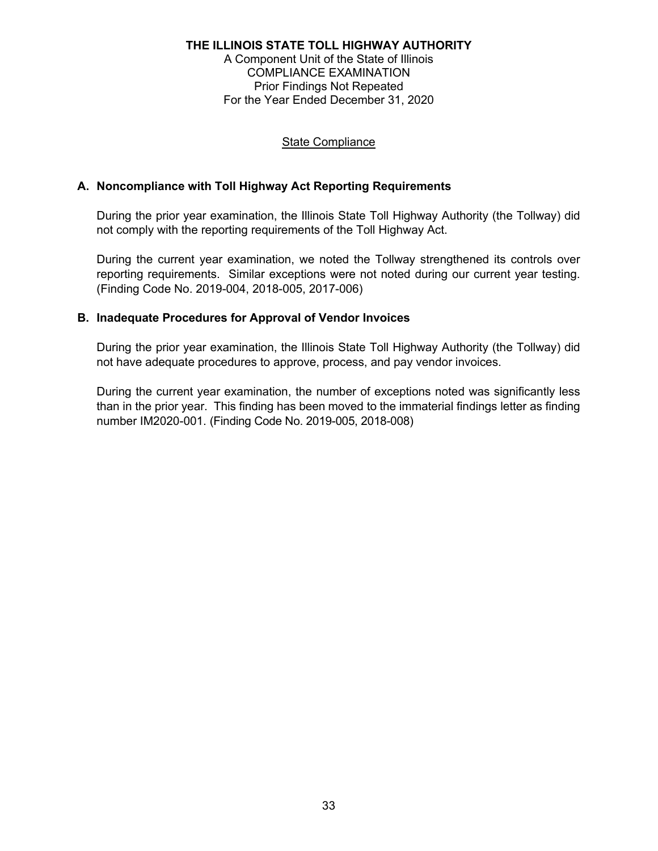### State Compliance

### **A. Noncompliance with Toll Highway Act Reporting Requirements**

During the prior year examination, the Illinois State Toll Highway Authority (the Tollway) did not comply with the reporting requirements of the Toll Highway Act.

During the current year examination, we noted the Tollway strengthened its controls over reporting requirements. Similar exceptions were not noted during our current year testing. (Finding Code No. 2019-004, 2018-005, 2017-006)

#### **B. Inadequate Procedures for Approval of Vendor Invoices**

During the prior year examination, the Illinois State Toll Highway Authority (the Tollway) did not have adequate procedures to approve, process, and pay vendor invoices.

During the current year examination, the number of exceptions noted was significantly less than in the prior year. This finding has been moved to the immaterial findings letter as finding number IM2020-001. (Finding Code No. 2019-005, 2018-008)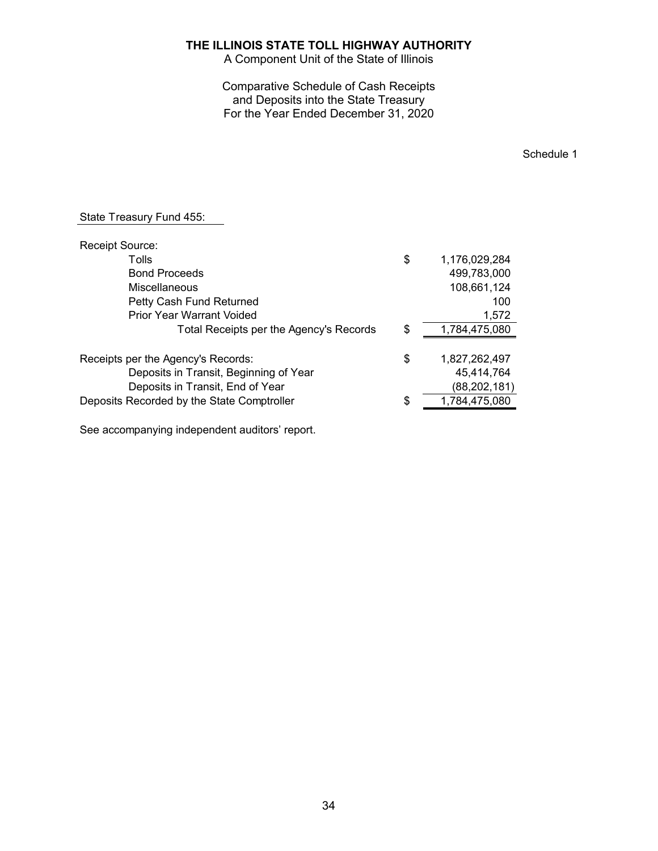A Component Unit of the State of Illinois

Comparative Schedule of Cash Receipts and Deposits into the State Treasury For the Year Ended December 31, 2020

Schedule 1

| <b>Receipt Source:</b>                     |                     |
|--------------------------------------------|---------------------|
| Tolls                                      | \$<br>1,176,029,284 |
| <b>Bond Proceeds</b>                       | 499,783,000         |
| <b>Miscellaneous</b>                       | 108,661,124         |
| Petty Cash Fund Returned                   | 100                 |
| <b>Prior Year Warrant Voided</b>           | 1,572               |
| Total Receipts per the Agency's Records    | \$<br>1,784,475,080 |
| Receipts per the Agency's Records:         | \$<br>1,827,262,497 |
| Deposits in Transit, Beginning of Year     | 45,414,764          |
| Deposits in Transit, End of Year           | (88, 202, 181)      |
| Deposits Recorded by the State Comptroller | \$<br>1,784,475,080 |
|                                            |                     |

See accompanying independent auditors' report.

State Treasury Fund 455: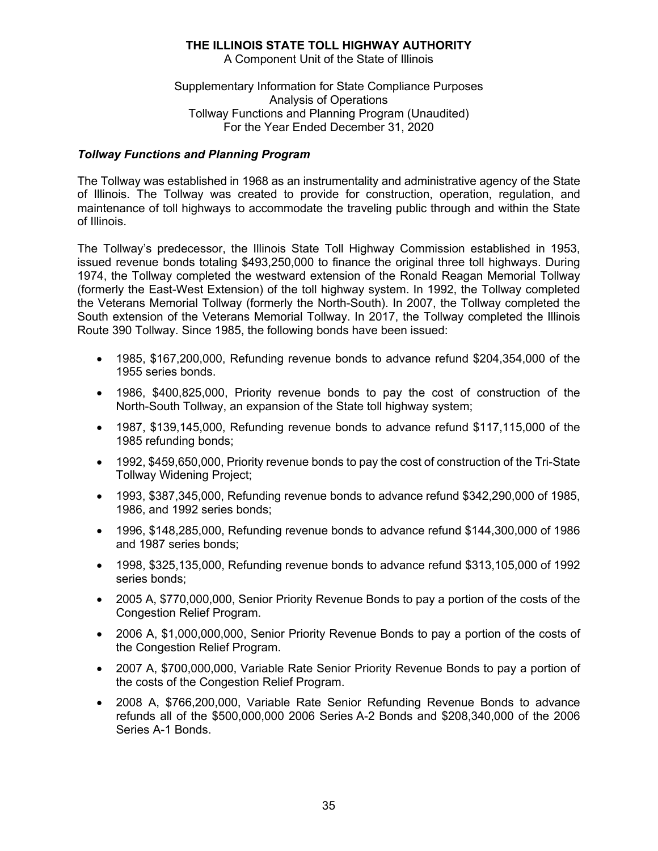A Component Unit of the State of Illinois

Supplementary Information for State Compliance Purposes Analysis of Operations Tollway Functions and Planning Program (Unaudited) For the Year Ended December 31, 2020

### *Tollway Functions and Planning Program*

The Tollway was established in 1968 as an instrumentality and administrative agency of the State of Illinois. The Tollway was created to provide for construction, operation, regulation, and maintenance of toll highways to accommodate the traveling public through and within the State of Illinois.

The Tollway's predecessor, the Illinois State Toll Highway Commission established in 1953, issued revenue bonds totaling \$493,250,000 to finance the original three toll highways. During 1974, the Tollway completed the westward extension of the Ronald Reagan Memorial Tollway (formerly the East-West Extension) of the toll highway system. In 1992, the Tollway completed the Veterans Memorial Tollway (formerly the North-South). In 2007, the Tollway completed the South extension of the Veterans Memorial Tollway. In 2017, the Tollway completed the Illinois Route 390 Tollway. Since 1985, the following bonds have been issued:

- 1985, \$167,200,000, Refunding revenue bonds to advance refund \$204,354,000 of the 1955 series bonds.
- 1986, \$400,825,000, Priority revenue bonds to pay the cost of construction of the North-South Tollway, an expansion of the State toll highway system;
- 1987, \$139,145,000, Refunding revenue bonds to advance refund \$117,115,000 of the 1985 refunding bonds;
- 1992, \$459,650,000, Priority revenue bonds to pay the cost of construction of the Tri-State Tollway Widening Project;
- 1993, \$387,345,000, Refunding revenue bonds to advance refund \$342,290,000 of 1985, 1986, and 1992 series bonds;
- 1996, \$148,285,000, Refunding revenue bonds to advance refund \$144,300,000 of 1986 and 1987 series bonds;
- 1998, \$325,135,000, Refunding revenue bonds to advance refund \$313,105,000 of 1992 series bonds;
- 2005 A, \$770,000,000, Senior Priority Revenue Bonds to pay a portion of the costs of the Congestion Relief Program.
- 2006 A, \$1,000,000,000, Senior Priority Revenue Bonds to pay a portion of the costs of the Congestion Relief Program.
- 2007 A, \$700,000,000, Variable Rate Senior Priority Revenue Bonds to pay a portion of the costs of the Congestion Relief Program.
- 2008 A, \$766,200,000, Variable Rate Senior Refunding Revenue Bonds to advance refunds all of the \$500,000,000 2006 Series A-2 Bonds and \$208,340,000 of the 2006 Series A-1 Bonds.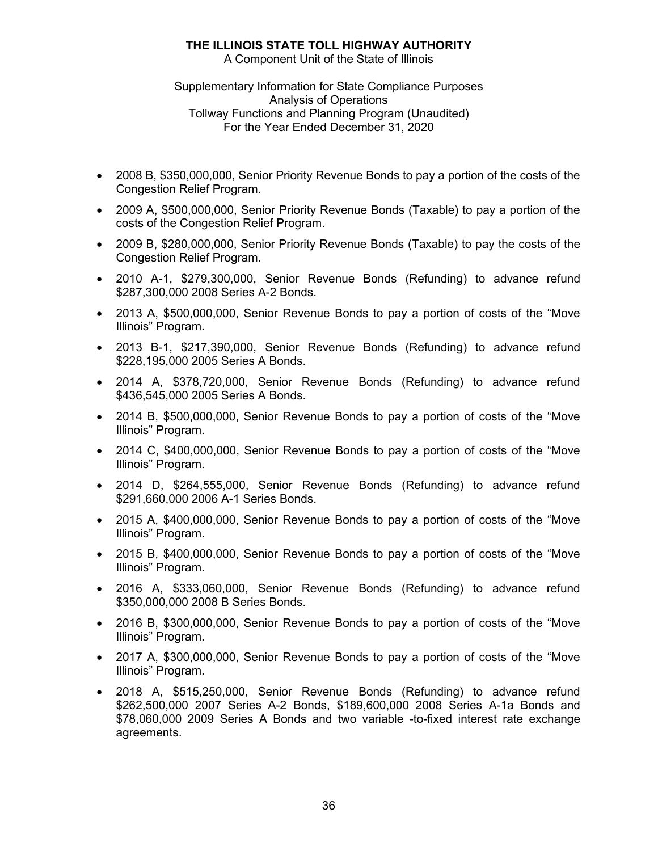A Component Unit of the State of Illinois

Supplementary Information for State Compliance Purposes Analysis of Operations Tollway Functions and Planning Program (Unaudited) For the Year Ended December 31, 2020

- 2008 B, \$350,000,000, Senior Priority Revenue Bonds to pay a portion of the costs of the Congestion Relief Program.
- 2009 A, \$500,000,000, Senior Priority Revenue Bonds (Taxable) to pay a portion of the costs of the Congestion Relief Program.
- 2009 B, \$280,000,000, Senior Priority Revenue Bonds (Taxable) to pay the costs of the Congestion Relief Program.
- 2010 A-1, \$279,300,000, Senior Revenue Bonds (Refunding) to advance refund \$287,300,000 2008 Series A-2 Bonds.
- 2013 A, \$500,000,000, Senior Revenue Bonds to pay a portion of costs of the "Move Illinois" Program.
- 2013 B-1, \$217,390,000, Senior Revenue Bonds (Refunding) to advance refund \$228,195,000 2005 Series A Bonds.
- 2014 A, \$378,720,000, Senior Revenue Bonds (Refunding) to advance refund \$436,545,000 2005 Series A Bonds.
- 2014 B, \$500,000,000, Senior Revenue Bonds to pay a portion of costs of the "Move Illinois" Program.
- 2014 C, \$400,000,000, Senior Revenue Bonds to pay a portion of costs of the "Move Illinois" Program.
- 2014 D, \$264,555,000, Senior Revenue Bonds (Refunding) to advance refund \$291,660,000 2006 A-1 Series Bonds.
- 2015 A, \$400,000,000, Senior Revenue Bonds to pay a portion of costs of the "Move Illinois" Program.
- 2015 B, \$400,000,000, Senior Revenue Bonds to pay a portion of costs of the "Move Illinois" Program.
- 2016 A, \$333,060,000, Senior Revenue Bonds (Refunding) to advance refund \$350,000,000 2008 B Series Bonds.
- 2016 B, \$300,000,000, Senior Revenue Bonds to pay a portion of costs of the "Move Illinois" Program.
- 2017 A, \$300,000,000, Senior Revenue Bonds to pay a portion of costs of the "Move Illinois" Program.
- 2018 A, \$515,250,000, Senior Revenue Bonds (Refunding) to advance refund \$262,500,000 2007 Series A-2 Bonds, \$189,600,000 2008 Series A-1a Bonds and \$78,060,000 2009 Series A Bonds and two variable -to-fixed interest rate exchange agreements.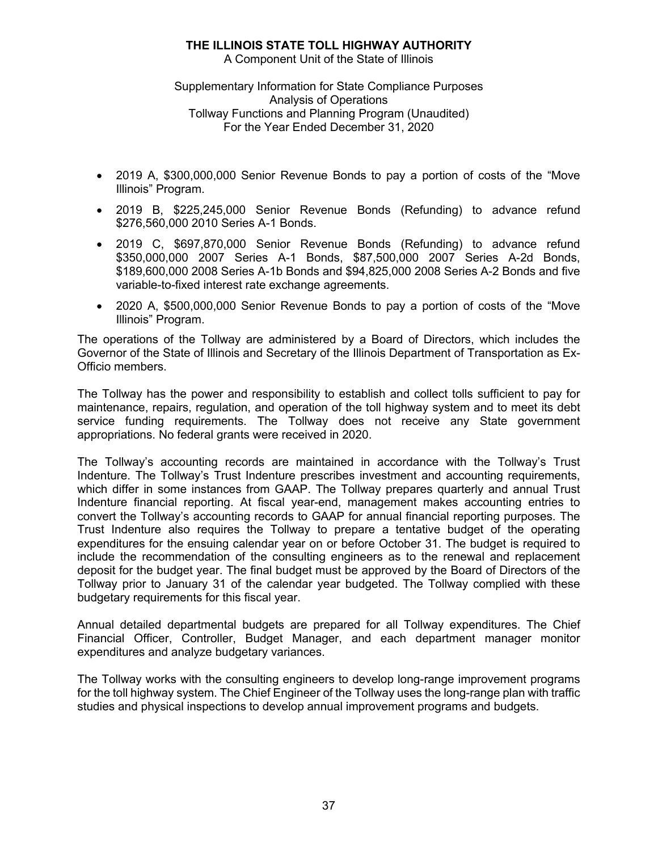A Component Unit of the State of Illinois

Supplementary Information for State Compliance Purposes Analysis of Operations Tollway Functions and Planning Program (Unaudited) For the Year Ended December 31, 2020

- 2019 A, \$300,000,000 Senior Revenue Bonds to pay a portion of costs of the "Move Illinois" Program.
- 2019 B, \$225,245,000 Senior Revenue Bonds (Refunding) to advance refund \$276,560,000 2010 Series A-1 Bonds.
- 2019 C, \$697,870,000 Senior Revenue Bonds (Refunding) to advance refund \$350,000,000 2007 Series A-1 Bonds, \$87,500,000 2007 Series A-2d Bonds, \$189,600,000 2008 Series A-1b Bonds and \$94,825,000 2008 Series A-2 Bonds and five variable-to-fixed interest rate exchange agreements.
- 2020 A, \$500,000,000 Senior Revenue Bonds to pay a portion of costs of the "Move Illinois" Program.

The operations of the Tollway are administered by a Board of Directors, which includes the Governor of the State of Illinois and Secretary of the Illinois Department of Transportation as Ex-Officio members.

The Tollway has the power and responsibility to establish and collect tolls sufficient to pay for maintenance, repairs, regulation, and operation of the toll highway system and to meet its debt service funding requirements. The Tollway does not receive any State government appropriations. No federal grants were received in 2020.

The Tollway's accounting records are maintained in accordance with the Tollway's Trust Indenture. The Tollway's Trust Indenture prescribes investment and accounting requirements, which differ in some instances from GAAP. The Tollway prepares quarterly and annual Trust Indenture financial reporting. At fiscal year-end, management makes accounting entries to convert the Tollway's accounting records to GAAP for annual financial reporting purposes. The Trust Indenture also requires the Tollway to prepare a tentative budget of the operating expenditures for the ensuing calendar year on or before October 31. The budget is required to include the recommendation of the consulting engineers as to the renewal and replacement deposit for the budget year. The final budget must be approved by the Board of Directors of the Tollway prior to January 31 of the calendar year budgeted. The Tollway complied with these budgetary requirements for this fiscal year.

Annual detailed departmental budgets are prepared for all Tollway expenditures. The Chief Financial Officer, Controller, Budget Manager, and each department manager monitor expenditures and analyze budgetary variances.

The Tollway works with the consulting engineers to develop long-range improvement programs for the toll highway system. The Chief Engineer of the Tollway uses the long-range plan with traffic studies and physical inspections to develop annual improvement programs and budgets.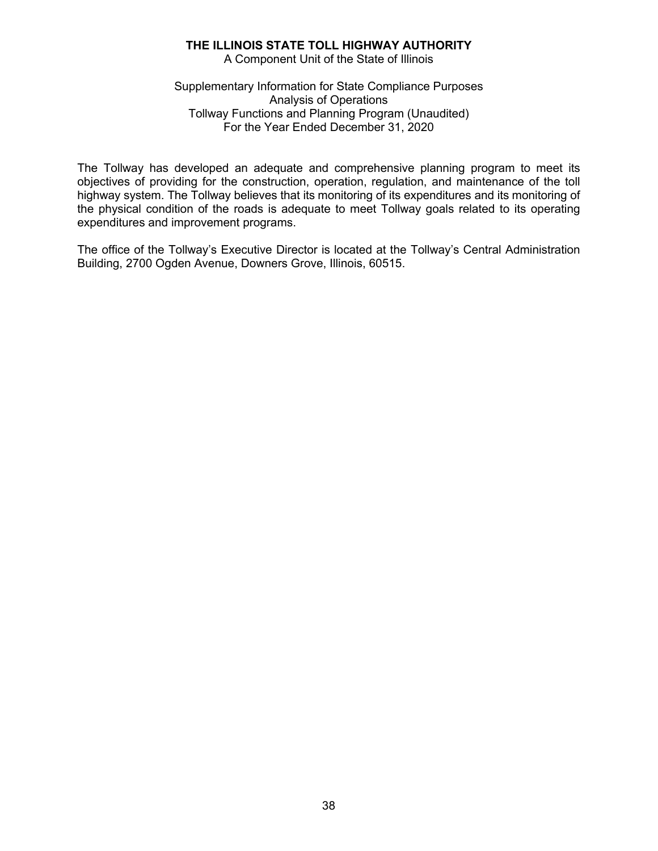A Component Unit of the State of Illinois

Supplementary Information for State Compliance Purposes Analysis of Operations Tollway Functions and Planning Program (Unaudited) For the Year Ended December 31, 2020

The Tollway has developed an adequate and comprehensive planning program to meet its objectives of providing for the construction, operation, regulation, and maintenance of the toll highway system. The Tollway believes that its monitoring of its expenditures and its monitoring of the physical condition of the roads is adequate to meet Tollway goals related to its operating expenditures and improvement programs.

The office of the Tollway's Executive Director is located at the Tollway's Central Administration Building, 2700 Ogden Avenue, Downers Grove, Illinois, 60515.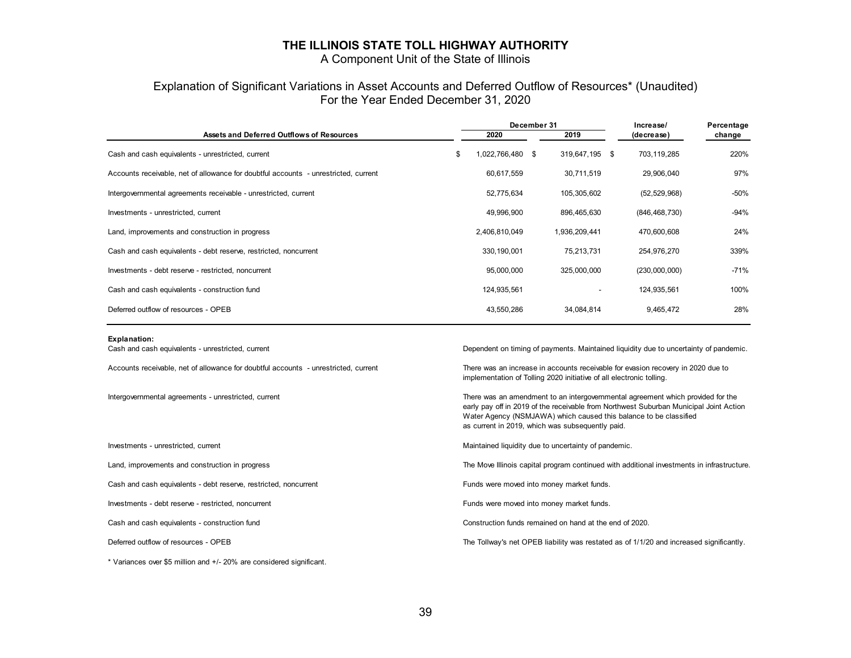A Component Unit of the State of Illinois

#### Explanation of Significant Variations in Asset Accounts and Deferred Outflow of Resources\* (Unaudited) For the Year Ended December 31, 2020

|                                                                                     |                                                                                                                                                          | December 31   |      |                | Increase/  |                                                                                       | Percentage |  |
|-------------------------------------------------------------------------------------|----------------------------------------------------------------------------------------------------------------------------------------------------------|---------------|------|----------------|------------|---------------------------------------------------------------------------------------|------------|--|
| Assets and Deferred Outflows of Resources                                           |                                                                                                                                                          | 2020          |      | 2019           | (decrease) |                                                                                       | change     |  |
| Cash and cash equivalents - unrestricted, current                                   | \$                                                                                                                                                       | 1,022,766,480 | - \$ | 319,647,195 \$ |            | 703,119,285                                                                           | 220%       |  |
| Accounts receivable, net of allowance for doubtful accounts - unrestricted, current |                                                                                                                                                          | 60,617,559    |      | 30,711,519     |            | 29,906,040                                                                            | 97%        |  |
| Intergovernmental agreements receivable - unrestricted, current                     |                                                                                                                                                          | 52,775,634    |      | 105,305,602    |            | (52, 529, 968)                                                                        | $-50%$     |  |
| Investments - unrestricted, current                                                 |                                                                                                                                                          | 49,996,900    |      | 896,465,630    |            | (846, 468, 730)                                                                       | $-94%$     |  |
| Land, improvements and construction in progress                                     |                                                                                                                                                          | 2,406,810,049 |      | 1,936,209,441  |            | 470,600,608                                                                           | 24%        |  |
| Cash and cash equivalents - debt reserve, restricted, noncurrent                    |                                                                                                                                                          | 330,190,001   |      | 75.213.731     |            | 254,976,270                                                                           | 339%       |  |
| Investments - debt reserve - restricted, noncurrent                                 |                                                                                                                                                          | 95,000,000    |      | 325,000,000    |            | (230,000,000)                                                                         | $-71%$     |  |
| Cash and cash equivalents - construction fund                                       |                                                                                                                                                          | 124,935,561   |      |                |            | 124,935,561                                                                           | 100%       |  |
| Deferred outflow of resources - OPEB                                                |                                                                                                                                                          | 43,550,286    |      | 34,084,814     |            | 9,465,472                                                                             | 28%        |  |
| <b>Explanation:</b>                                                                 |                                                                                                                                                          |               |      |                |            |                                                                                       |            |  |
| Cash and cash equivalents - unrestricted, current                                   |                                                                                                                                                          |               |      |                |            | Dependent on timing of payments. Maintained liquidity due to uncertainty of pandemic. |            |  |
| Accounts receivable, net of allowance for doubtful accounts - unrestricted, current | There was an increase in accounts receivable for evasion recovery in 2020 due to<br>implementation of Tolling 2020 initiative of all electronic tolling. |               |      |                |            |                                                                                       |            |  |

Cash and cash equivalents - debt reserve, restricted, noncurrent Funds Funds were moved into money market funds.

Investments - debt reserve - restricted, noncurrent Funds were moved into money market funds.

\* Variances over \$5 million and +/- 20% are considered significant.

Intergovernmental agreements - unrestricted, current There was an amendment to an intergovernmental agreement which provided for the early pay off in 2019 of the receivable from Northwest Suburban Municipal Joint Action Water Agency (NSMJAWA) which caused this balance to be classified as current in 2019, which was subsequently paid.

Investments - unrestricted, current Maintained liquidity due to uncertainty of pandemic.

Land, improvements and construction in progress The Move of the Move Illinois capital program continued with additional investments in infrastructure.

Cash and cash equivalents - construction fund Construction funds remained on hand at the end of 2020.

Deferred outflow of resources - OPEB The Tollway's net OPEB liability was restated as of 1/1/20 and increased significantly.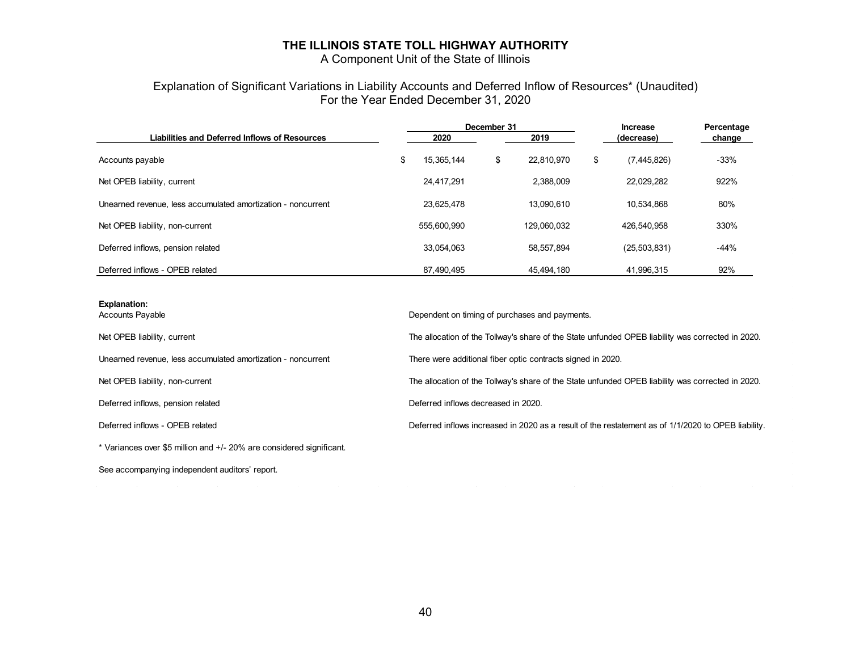A Component Unit of the State of Illinois

### Explanation of Significant Variations in Liability Accounts and Deferred Inflow of Resources\* (Unaudited) For the Year Ended December 31, 2020

|                                                              | December 31 |             |    |             |    | <b>Increase</b> | Percentage |  |
|--------------------------------------------------------------|-------------|-------------|----|-------------|----|-----------------|------------|--|
| Liabilities and Deferred Inflows of Resources                |             | 2020        |    | 2019        |    | (decrease)      | change     |  |
| Accounts payable                                             | \$          | 15.365.144  | \$ | 22.810.970  | \$ | (7,445,826)     | $-33%$     |  |
| Net OPEB liability, current                                  |             | 24.417.291  |    | 2,388,009   |    | 22.029.282      | 922%       |  |
| Unearned revenue, less accumulated amortization - noncurrent |             | 23.625.478  |    | 13.090.610  |    | 10.534.868      | 80%        |  |
| Net OPEB liability, non-current                              |             | 555.600.990 |    | 129.060.032 |    | 426.540.958     | 330%       |  |
| Deferred inflows, pension related                            |             | 33.054.063  |    | 58.557.894  |    | (25, 503, 831)  | $-44%$     |  |
| Deferred inflows - OPEB related                              |             | 87.490.495  |    | 45.494.180  |    | 41.996.315      | 92%        |  |

#### **Explanation:**

Unearned revenue, less accumulated amortization - noncurrent There were additional fiber optic contracts signed in 2020.

\* Variances over \$5 million and +/- 20% are considered significant.

See accompanying independent auditors' report.

Accounts Payable **Dependent on timing of purchases and payments**.

Net OPEB liability, current The allocation of the Tollway's share of the State unfunded OPEB liability was corrected in 2020.

Net OPEB liability, non-current The allocation of the Tollway's share of the State unfunded OPEB liability was corrected in 2020.

Deferred inflows, pension related Deferred inflows decreased in 2020.

Deferred inflows - OPEB related Deferred inflows increased in 2020 as a result of the restatement as of 1/1/2020 to OPEB liability.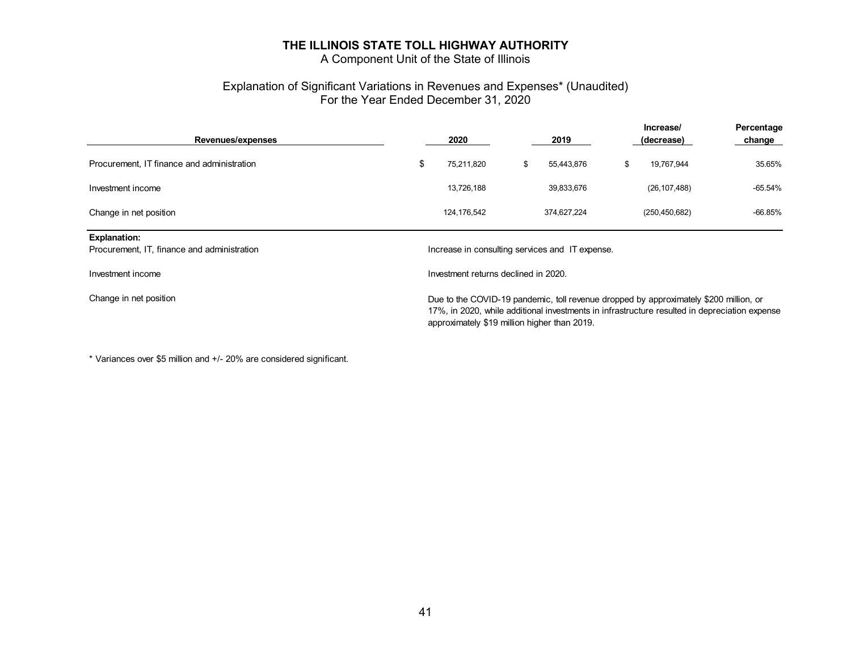A Component Unit of the State of Illinois

### Explanation of Significant Variations in Revenues and Expenses\* (Unaudited) For the Year Ended December 31, 2020

| Revenues/expenses                                                  |                                                                                                                                                                                                                                        | 2020                                            |    | 2019        |    | Increase/<br>(decrease) | Percentage<br>change |  |
|--------------------------------------------------------------------|----------------------------------------------------------------------------------------------------------------------------------------------------------------------------------------------------------------------------------------|-------------------------------------------------|----|-------------|----|-------------------------|----------------------|--|
| Procurement, IT finance and administration                         | \$                                                                                                                                                                                                                                     | 75,211,820                                      | \$ | 55,443,876  | \$ | 19,767,944              | 35.65%               |  |
| Investment income                                                  |                                                                                                                                                                                                                                        | 13,726,188                                      |    | 39,833,676  |    | (26, 107, 488)          | -65.54%              |  |
| Change in net position                                             |                                                                                                                                                                                                                                        | 124,176,542                                     |    | 374,627,224 |    | (250, 450, 682)         | -66.85%              |  |
| <b>Explanation:</b><br>Procurement, IT, finance and administration |                                                                                                                                                                                                                                        | Increase in consulting services and IT expense. |    |             |    |                         |                      |  |
| Investment income                                                  | Investment returns declined in 2020.                                                                                                                                                                                                   |                                                 |    |             |    |                         |                      |  |
| Change in net position                                             | Due to the COVID-19 pandemic, toll revenue dropped by approximately \$200 million, or<br>17%, in 2020, while additional investments in infrastructure resulted in depreciation expense<br>approximately \$19 million higher than 2019. |                                                 |    |             |    |                         |                      |  |

\* Variances over \$5 million and +/- 20% are considered significant.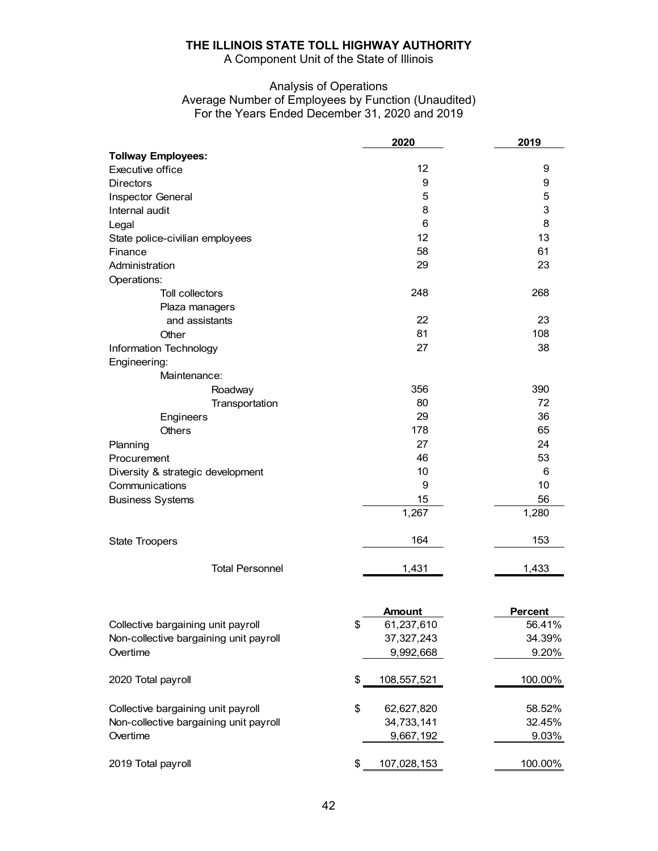A Component Unit of the State of Illinois

### Analysis of Operations Average Number of Employees by Function (Unaudited) For the Years Ended December 31, 2020 and 2019

|                                        | 2020              | 2019           |
|----------------------------------------|-------------------|----------------|
| <b>Tollway Employees:</b>              |                   |                |
| Executive office                       | 12                | 9              |
| <b>Directors</b>                       | 9                 | 9              |
| Inspector General                      | 5                 | 5              |
| Internal audit                         | 8                 | 3              |
| Legal                                  | 6                 | 8              |
| State police-civilian employees        | 12                | 13             |
| Finance                                | 58                | 61             |
| Administration                         | 29                | 23             |
| Operations:                            |                   |                |
| <b>Toll collectors</b>                 | 248               | 268            |
| Plaza managers                         |                   |                |
| and assistants                         | 22                | 23             |
| Other                                  | 81                | 108            |
| Information Technology                 | 27                | 38             |
| Engineering:                           |                   |                |
| Maintenance:                           |                   |                |
| Roadway                                | 356               | 390            |
| Transportation                         | 80                | 72             |
| Engineers                              | 29                | 36             |
| <b>Others</b>                          | 178               | 65             |
| Planning                               | 27                | 24             |
| Procurement                            | 46                | 53             |
| Diversity & strategic development      | 10                | 6              |
| Communications                         | 9                 | 10             |
| <b>Business Systems</b>                | 15                | 56             |
|                                        | 1,267             | 1,280          |
|                                        |                   |                |
| <b>State Troopers</b>                  | 164               | 153            |
| <b>Total Personnel</b>                 | 1,431             | 1,433          |
|                                        |                   |                |
|                                        | <b>Amount</b>     | <b>Percent</b> |
| Collective bargaining unit payroll     | \$<br>61,237,610  | 56.41%         |
| Non-collective bargaining unit payroll | 37, 327, 243      | 34.39%         |
| Overtime                               | 9,992,668         | 9.20%          |
| 2020 Total payroll                     | \$<br>108,557,521 | 100.00%        |
| Collective bargaining unit payroll     | \$<br>62,627,820  | 58.52%         |
| Non-collective bargaining unit payroll | 34,733,141        | 32.45%         |
| Overtime                               | 9,667,192         | 9.03%          |
| 2019 Total payroll                     | \$<br>107,028,153 | 100.00%        |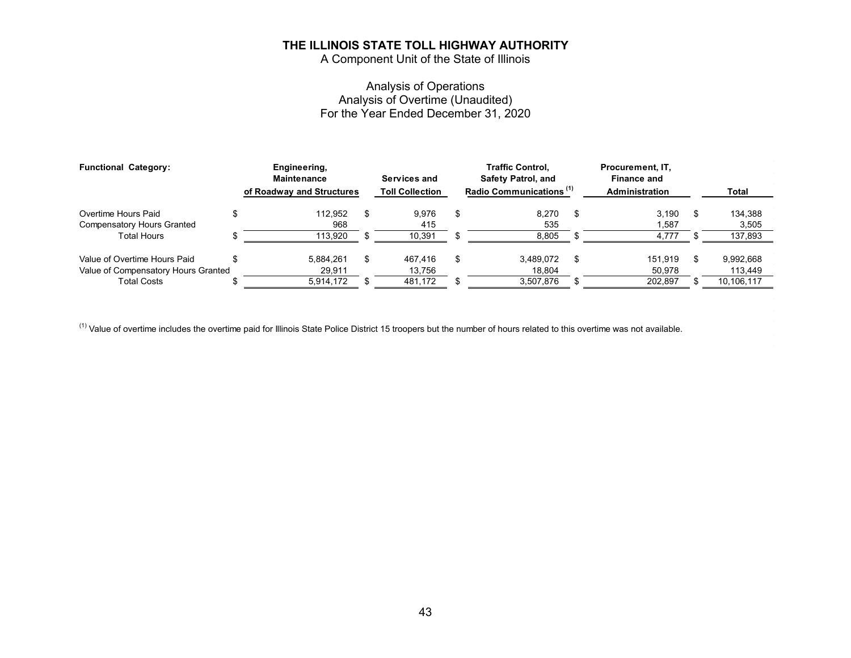A Component Unit of the State of Illinois

### Analysis of Operations Analysis of Overtime (Unaudited) For the Year Ended December 31, 2020

| <b>Functional Category:</b>         | Engineering,<br><b>Maintenance</b> | Services and           | <b>Traffic Control.</b><br><b>Safety Patrol, and</b> |    | Procurement, IT,<br><b>Finance and</b> |            |
|-------------------------------------|------------------------------------|------------------------|------------------------------------------------------|----|----------------------------------------|------------|
|                                     | of Roadway and Structures          | <b>Toll Collection</b> | Radio Communications <sup>(1)</sup>                  |    | <b>Administration</b>                  | Total      |
| Overtime Hours Paid                 | 112.952                            | 9.976                  | 8,270                                                | -S | 3.190                                  | 134,388    |
| <b>Compensatory Hours Granted</b>   | 968                                | 415                    | 535                                                  |    | 587. ا                                 | 3,505      |
| Total Hours                         | 113.920                            | 10,391                 | 8.805                                                |    | 4.777                                  | 137,893    |
| Value of Overtime Hours Paid        | 5.884.261                          | 467.416                | 3.489.072                                            | -S | 151.919                                | 9,992,668  |
| Value of Compensatory Hours Granted | 29,911                             | 13,756                 | 18.804                                               |    | 50.978                                 | 113,449    |
| Total Costs                         | 5,914,172                          | 481,172                | 3,507,876                                            |    | 202,897                                | 10,106,117 |

 $^{(1)}$  Value of overtime includes the overtime paid for Illinois State Police District 15 troopers but the number of hours related to this overtime was not available.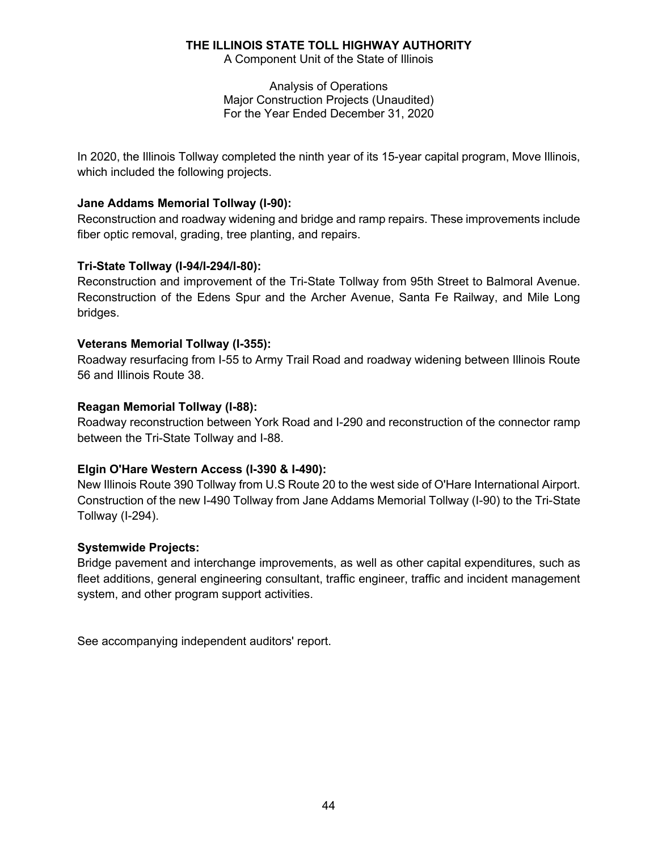A Component Unit of the State of Illinois

Analysis of Operations Major Construction Projects (Unaudited) For the Year Ended December 31, 2020

In 2020, the Illinois Tollway completed the ninth year of its 15-year capital program, Move Illinois, which included the following projects.

### **Jane Addams Memorial Tollway (I-90):**

Reconstruction and roadway widening and bridge and ramp repairs. These improvements include fiber optic removal, grading, tree planting, and repairs.

### **Tri-State Tollway (I-94/I-294/I-80):**

Reconstruction and improvement of the Tri-State Tollway from 95th Street to Balmoral Avenue. Reconstruction of the Edens Spur and the Archer Avenue, Santa Fe Railway, and Mile Long bridges.

### **Veterans Memorial Tollway (I-355):**

Roadway resurfacing from I-55 to Army Trail Road and roadway widening between Illinois Route 56 and Illinois Route 38.

### **Reagan Memorial Tollway (I-88):**

Roadway reconstruction between York Road and I-290 and reconstruction of the connector ramp between the Tri-State Tollway and I-88.

### **Elgin O'Hare Western Access (I-390 & I-490):**

New Illinois Route 390 Tollway from U.S Route 20 to the west side of O'Hare International Airport. Construction of the new I-490 Tollway from Jane Addams Memorial Tollway (I-90) to the Tri-State Tollway (I-294).

### **Systemwide Projects:**

Bridge pavement and interchange improvements, as well as other capital expenditures, such as fleet additions, general engineering consultant, traffic engineer, traffic and incident management system, and other program support activities.

See accompanying independent auditors' report.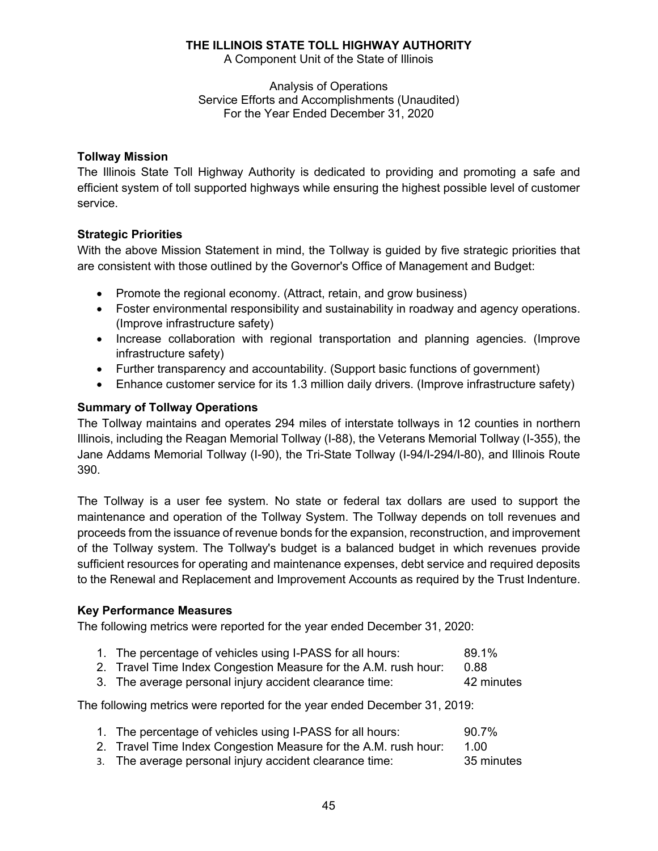A Component Unit of the State of Illinois

Analysis of Operations Service Efforts and Accomplishments (Unaudited) For the Year Ended December 31, 2020

### **Tollway Mission**

The Illinois State Toll Highway Authority is dedicated to providing and promoting a safe and efficient system of toll supported highways while ensuring the highest possible level of customer service.

### **Strategic Priorities**

With the above Mission Statement in mind, the Tollway is guided by five strategic priorities that are consistent with those outlined by the Governor's Office of Management and Budget:

- Promote the regional economy. (Attract, retain, and grow business)
- Foster environmental responsibility and sustainability in roadway and agency operations. (Improve infrastructure safety)
- Increase collaboration with regional transportation and planning agencies. (Improve infrastructure safety)
- Further transparency and accountability. (Support basic functions of government)
- Enhance customer service for its 1.3 million daily drivers. (Improve infrastructure safety)

### **Summary of Tollway Operations**

The Tollway maintains and operates 294 miles of interstate tollways in 12 counties in northern Illinois, including the Reagan Memorial Tollway (I-88), the Veterans Memorial Tollway (I-355), the Jane Addams Memorial Tollway (I-90), the Tri-State Tollway (I-94/I-294/I-80), and Illinois Route 390.

The Tollway is a user fee system. No state or federal tax dollars are used to support the maintenance and operation of the Tollway System. The Tollway depends on toll revenues and proceeds from the issuance of revenue bonds for the expansion, reconstruction, and improvement of the Tollway system. The Tollway's budget is a balanced budget in which revenues provide sufficient resources for operating and maintenance expenses, debt service and required deposits to the Renewal and Replacement and Improvement Accounts as required by the Trust Indenture.

### **Key Performance Measures**

The following metrics were reported for the year ended December 31, 2020:

| 1. The percentage of vehicles using I-PASS for all hours:       | 89.1% |
|-----------------------------------------------------------------|-------|
| 2. Travel Time Index Congestion Measure for the A.M. rush hour: | 0.88  |

3. The average personal injury accident clearance time: 42 minutes

The following metrics were reported for the year ended December 31, 2019:

| 1. The percentage of vehicles using I-PASS for all hours:       | 90.7%      |
|-----------------------------------------------------------------|------------|
| 2. Travel Time Index Congestion Measure for the A.M. rush hour: | 1 Q O      |
| 3. The average personal injury accident clearance time:         | 35 minutes |